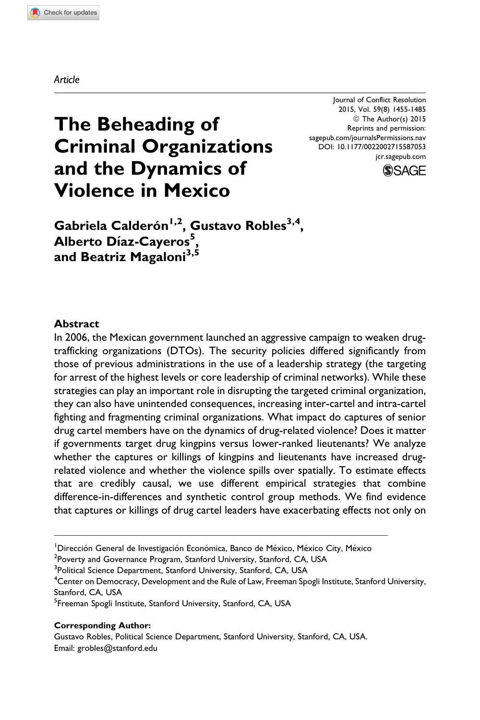Journal of Conflict Resolution 2015, Vol. 59(8) 1455-1485 ª The Author(s) 2015 Reprints and permission: [sagepub.com/journalsPermissions.nav](http://www.sagepub.com/journalsPermissions.nav) DOI: 10.1177/0022002715587053 [jcr.sagepub.com](http://jcr.sagepub.com)



# The Beheading of Criminal Organizations and the Dynamics of Violence in Mexico

Gabriela Calderón<sup>1,2</sup>, Gustavo Robles<sup>3,4</sup>, Alberto Díaz-Cayeros<sup>5</sup> , and Beatriz Magaloni<sup>3,5</sup>

#### **Abstract**

In 2006, the Mexican government launched an aggressive campaign to weaken drugtrafficking organizations (DTOs). The security policies differed significantly from those of previous administrations in the use of a leadership strategy (the targeting for arrest of the highest levels or core leadership of criminal networks). While these strategies can play an important role in disrupting the targeted criminal organization, they can also have unintended consequences, increasing inter-cartel and intra-cartel fighting and fragmenting criminal organizations. What impact do captures of senior drug cartel members have on the dynamics of drug-related violence? Does it matter if governments target drug kingpins versus lower-ranked lieutenants? We analyze whether the captures or killings of kingpins and lieutenants have increased drugrelated violence and whether the violence spills over spatially. To estimate effects that are credibly causal, we use different empirical strategies that combine difference-in-differences and synthetic control group methods. We find evidence that captures or killings of drug cartel leaders have exacerbating effects not only on

<sup>3</sup>Political Science Department, Stanford University, Stanford, CA, USA

 $^4$ Center on Democracy, Development and the Rule of Law, Freeman Spogli Institute, Stanford University, Stanford, CA, USA

#### Corresponding Author:

Gustavo Robles, Political Science Department, Stanford University, Stanford, CA, USA. Email: grobles@stanford.edu

<sup>&</sup>lt;sup>1</sup> Dirección General de Investigación Económica, Banco de México, México City, México<br><sup>2</sup> Poverty and Governance Program, Stanford University, Stanford, CA USA

<sup>&</sup>lt;sup>2</sup>Poverty and Governance Program, Stanford University, Stanford, CA, USA

<sup>&</sup>lt;sup>5</sup>Freeman Spogli Institute, Stanford University, Stanford, CA, USA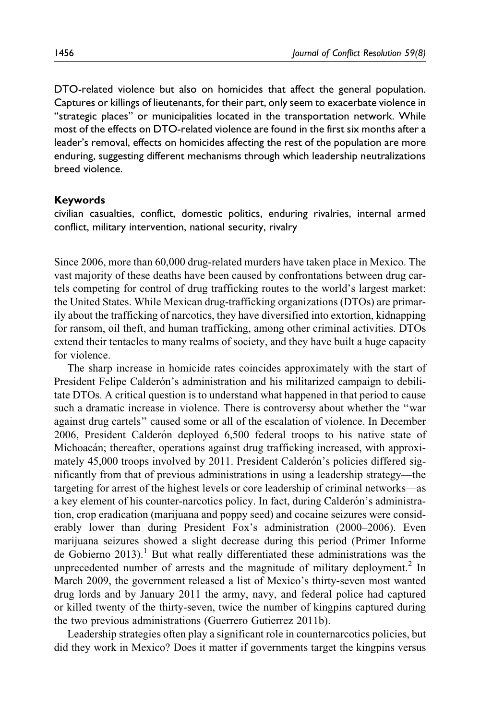DTO-related violence but also on homicides that affect the general population. Captures or killings of lieutenants, for their part, only seem to exacerbate violence in "strategic places" or municipalities located in the transportation network. While most of the effects on DTO-related violence are found in the first six months after a leader's removal, effects on homicides affecting the rest of the population are more enduring, suggesting different mechanisms through which leadership neutralizations breed violence.

#### Keywords

civilian casualties, conflict, domestic politics, enduring rivalries, internal armed conflict, military intervention, national security, rivalry

Since 2006, more than 60,000 drug-related murders have taken place in Mexico. The vast majority of these deaths have been caused by confrontations between drug cartels competing for control of drug trafficking routes to the world's largest market: the United States. While Mexican drug-trafficking organizations (DTOs) are primarily about the trafficking of narcotics, they have diversified into extortion, kidnapping for ransom, oil theft, and human trafficking, among other criminal activities. DTOs extend their tentacles to many realms of society, and they have built a huge capacity for violence.

The sharp increase in homicide rates coincides approximately with the start of President Felipe Calderón's administration and his militarized campaign to debilitate DTOs. A critical question is to understand what happened in that period to cause such a dramatic increase in violence. There is controversy about whether the ''war against drug cartels'' caused some or all of the escalation of violence. In December 2006, President Calderón deployed 6,500 federal troops to his native state of Michoacán; thereafter, operations against drug trafficking increased, with approximately 45,000 troops involved by 2011. President Calderón's policies differed significantly from that of previous administrations in using a leadership strategy—the targeting for arrest of the highest levels or core leadership of criminal networks—as a key element of his counter-narcotics policy. In fact, during Calderón's administration, crop eradication (marijuana and poppy seed) and cocaine seizures were considerably lower than during President Fox's administration (2000–2006). Even marijuana seizures showed a slight decrease during this period (Primer Informe de Gobierno  $2013$ ).<sup>1</sup> But what really differentiated these administrations was the unprecedented number of arrests and the magnitude of military deployment.<sup>2</sup> In March 2009, the government released a list of Mexico's thirty-seven most wanted drug lords and by January 2011 the army, navy, and federal police had captured or killed twenty of the thirty-seven, twice the number of kingpins captured during the two previous administrations (Guerrero Gutierrez 2011b).

Leadership strategies often play a significant role in counternarcotics policies, but did they work in Mexico? Does it matter if governments target the kingpins versus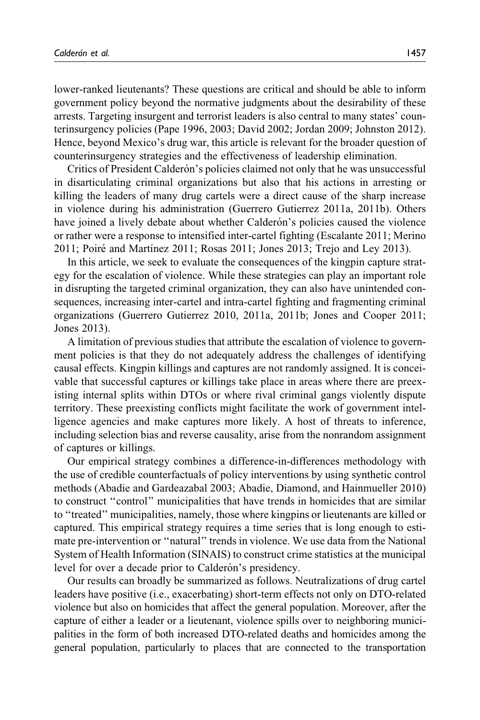lower-ranked lieutenants? These questions are critical and should be able to inform government policy beyond the normative judgments about the desirability of these arrests. Targeting insurgent and terrorist leaders is also central to many states' counterinsurgency policies (Pape 1996, 2003; David 2002; Jordan 2009; Johnston 2012). Hence, beyond Mexico's drug war, this article is relevant for the broader question of counterinsurgency strategies and the effectiveness of leadership elimination.

Critics of President Calderón's policies claimed not only that he was unsuccessful in disarticulating criminal organizations but also that his actions in arresting or killing the leaders of many drug cartels were a direct cause of the sharp increase in violence during his administration (Guerrero Gutierrez 2011a, 2011b). Others have joined a lively debate about whether Calderón's policies caused the violence or rather were a response to intensified inter-cartel fighting (Escalante 2011; Merino 2011; Poiré and Martínez 2011; Rosas 2011; Jones 2013; Trejo and Ley 2013).

In this article, we seek to evaluate the consequences of the kingpin capture strategy for the escalation of violence. While these strategies can play an important role in disrupting the targeted criminal organization, they can also have unintended consequences, increasing inter-cartel and intra-cartel fighting and fragmenting criminal organizations (Guerrero Gutierrez 2010, 2011a, 2011b; Jones and Cooper 2011; Jones 2013).

A limitation of previous studies that attribute the escalation of violence to government policies is that they do not adequately address the challenges of identifying causal effects. Kingpin killings and captures are not randomly assigned. It is conceivable that successful captures or killings take place in areas where there are preexisting internal splits within DTOs or where rival criminal gangs violently dispute territory. These preexisting conflicts might facilitate the work of government intelligence agencies and make captures more likely. A host of threats to inference, including selection bias and reverse causality, arise from the nonrandom assignment of captures or killings.

Our empirical strategy combines a difference-in-differences methodology with the use of credible counterfactuals of policy interventions by using synthetic control methods (Abadie and Gardeazabal 2003; Abadie, Diamond, and Hainmueller 2010) to construct ''control'' municipalities that have trends in homicides that are similar to ''treated'' municipalities, namely, those where kingpins or lieutenants are killed or captured. This empirical strategy requires a time series that is long enough to estimate pre-intervention or ''natural'' trends in violence. We use data from the National System of Health Information (SINAIS) to construct crime statistics at the municipal level for over a decade prior to Calderón's presidency.

Our results can broadly be summarized as follows. Neutralizations of drug cartel leaders have positive (i.e., exacerbating) short-term effects not only on DTO-related violence but also on homicides that affect the general population. Moreover, after the capture of either a leader or a lieutenant, violence spills over to neighboring municipalities in the form of both increased DTO-related deaths and homicides among the general population, particularly to places that are connected to the transportation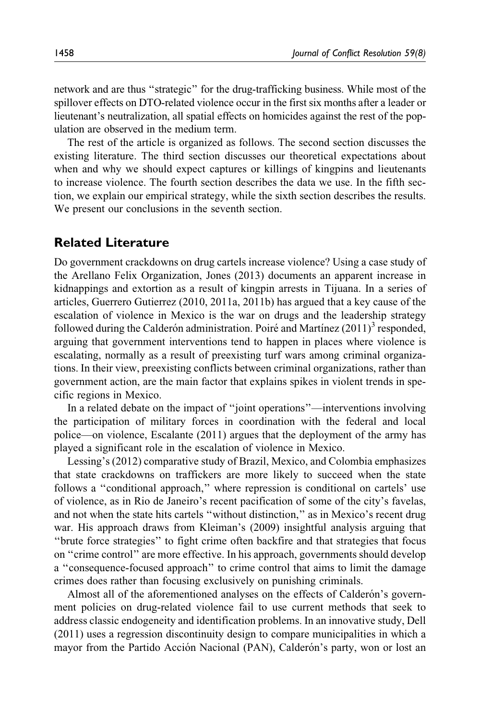network and are thus ''strategic'' for the drug-trafficking business. While most of the spillover effects on DTO-related violence occur in the first six months after a leader or lieutenant's neutralization, all spatial effects on homicides against the rest of the population are observed in the medium term.

The rest of the article is organized as follows. The second section discusses the existing literature. The third section discusses our theoretical expectations about when and why we should expect captures or killings of kingpins and lieutenants to increase violence. The fourth section describes the data we use. In the fifth section, we explain our empirical strategy, while the sixth section describes the results. We present our conclusions in the seventh section.

## Related Literature

Do government crackdowns on drug cartels increase violence? Using a case study of the Arellano Felix Organization, Jones (2013) documents an apparent increase in kidnappings and extortion as a result of kingpin arrests in Tijuana. In a series of articles, Guerrero Gutierrez (2010, 2011a, 2011b) has argued that a key cause of the escalation of violence in Mexico is the war on drugs and the leadership strategy followed during the Calderón administration. Poiré and Martínez  $(2011)^3$  responded, arguing that government interventions tend to happen in places where violence is escalating, normally as a result of preexisting turf wars among criminal organizations. In their view, preexisting conflicts between criminal organizations, rather than government action, are the main factor that explains spikes in violent trends in specific regions in Mexico.

In a related debate on the impact of ''joint operations''—interventions involving the participation of military forces in coordination with the federal and local police—on violence, Escalante (2011) argues that the deployment of the army has played a significant role in the escalation of violence in Mexico.

Lessing's (2012) comparative study of Brazil, Mexico, and Colombia emphasizes that state crackdowns on traffickers are more likely to succeed when the state follows a "conditional approach," where repression is conditional on cartels' use of violence, as in Rio de Janeiro's recent pacification of some of the city's favelas, and not when the state hits cartels ''without distinction,'' as in Mexico's recent drug war. His approach draws from Kleiman's (2009) insightful analysis arguing that ''brute force strategies'' to fight crime often backfire and that strategies that focus on ''crime control'' are more effective. In his approach, governments should develop a ''consequence-focused approach'' to crime control that aims to limit the damage crimes does rather than focusing exclusively on punishing criminals.

Almost all of the aforementioned analyses on the effects of Calderón's government policies on drug-related violence fail to use current methods that seek to address classic endogeneity and identification problems. In an innovative study, Dell (2011) uses a regression discontinuity design to compare municipalities in which a mayor from the Partido Acción Nacional (PAN), Calderón's party, won or lost an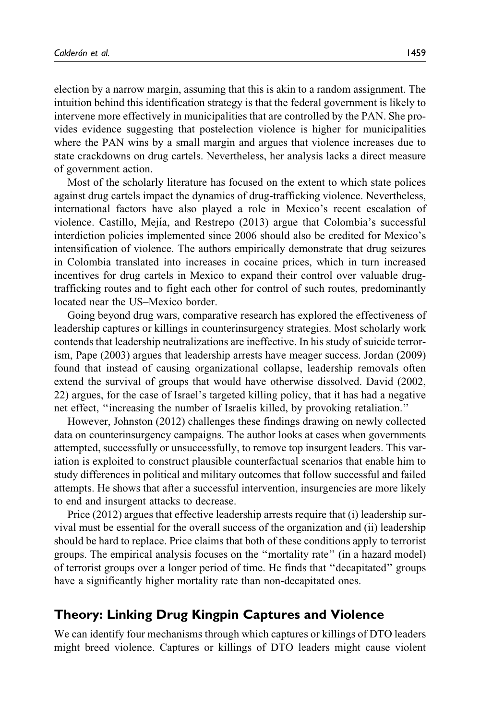election by a narrow margin, assuming that this is akin to a random assignment. The intuition behind this identification strategy is that the federal government is likely to intervene more effectively in municipalities that are controlled by the PAN. She provides evidence suggesting that postelection violence is higher for municipalities where the PAN wins by a small margin and argues that violence increases due to state crackdowns on drug cartels. Nevertheless, her analysis lacks a direct measure of government action.

Most of the scholarly literature has focused on the extent to which state polices against drug cartels impact the dynamics of drug-trafficking violence. Nevertheless, international factors have also played a role in Mexico's recent escalation of violence. Castillo, Mejı´a, and Restrepo (2013) argue that Colombia's successful interdiction policies implemented since 2006 should also be credited for Mexico's intensification of violence. The authors empirically demonstrate that drug seizures in Colombia translated into increases in cocaine prices, which in turn increased incentives for drug cartels in Mexico to expand their control over valuable drugtrafficking routes and to fight each other for control of such routes, predominantly located near the US–Mexico border.

Going beyond drug wars, comparative research has explored the effectiveness of leadership captures or killings in counterinsurgency strategies. Most scholarly work contends that leadership neutralizations are ineffective. In his study of suicide terrorism, Pape (2003) argues that leadership arrests have meager success. Jordan (2009) found that instead of causing organizational collapse, leadership removals often extend the survival of groups that would have otherwise dissolved. David (2002, 22) argues, for the case of Israel's targeted killing policy, that it has had a negative net effect, ''increasing the number of Israelis killed, by provoking retaliation.''

However, Johnston (2012) challenges these findings drawing on newly collected data on counterinsurgency campaigns. The author looks at cases when governments attempted, successfully or unsuccessfully, to remove top insurgent leaders. This variation is exploited to construct plausible counterfactual scenarios that enable him to study differences in political and military outcomes that follow successful and failed attempts. He shows that after a successful intervention, insurgencies are more likely to end and insurgent attacks to decrease.

Price (2012) argues that effective leadership arrests require that (i) leadership survival must be essential for the overall success of the organization and (ii) leadership should be hard to replace. Price claims that both of these conditions apply to terrorist groups. The empirical analysis focuses on the ''mortality rate'' (in a hazard model) of terrorist groups over a longer period of time. He finds that ''decapitated'' groups have a significantly higher mortality rate than non-decapitated ones.

# Theory: Linking Drug Kingpin Captures and Violence

We can identify four mechanisms through which captures or killings of DTO leaders might breed violence. Captures or killings of DTO leaders might cause violent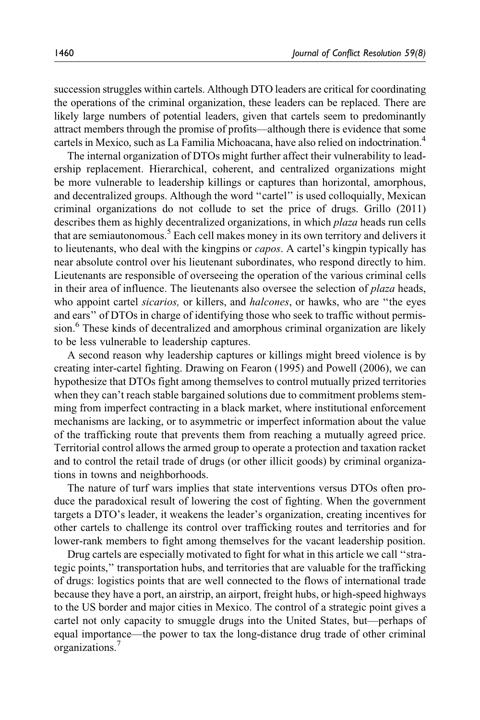succession struggles within cartels. Although DTO leaders are critical for coordinating the operations of the criminal organization, these leaders can be replaced. There are likely large numbers of potential leaders, given that cartels seem to predominantly attract members through the promise of profits—although there is evidence that some cartels in Mexico, such as La Familia Michoacana, have also relied on indoctrination.<sup>4</sup>

The internal organization of DTOs might further affect their vulnerability to leadership replacement. Hierarchical, coherent, and centralized organizations might be more vulnerable to leadership killings or captures than horizontal, amorphous, and decentralized groups. Although the word ''cartel'' is used colloquially, Mexican criminal organizations do not collude to set the price of drugs. Grillo (2011) describes them as highly decentralized organizations, in which *plaza* heads run cells that are semiautonomous.<sup>5</sup> Each cell makes money in its own territory and delivers it to lieutenants, who deal with the kingpins or capos. A cartel's kingpin typically has near absolute control over his lieutenant subordinates, who respond directly to him. Lieutenants are responsible of overseeing the operation of the various criminal cells in their area of influence. The lieutenants also oversee the selection of *plaza* heads, who appoint cartel sicarios, or killers, and halcones, or hawks, who are "the eyes and ears'' of DTOs in charge of identifying those who seek to traffic without permission.<sup>6</sup> These kinds of decentralized and amorphous criminal organization are likely to be less vulnerable to leadership captures.

A second reason why leadership captures or killings might breed violence is by creating inter-cartel fighting. Drawing on Fearon (1995) and Powell (2006), we can hypothesize that DTOs fight among themselves to control mutually prized territories when they can't reach stable bargained solutions due to commitment problems stemming from imperfect contracting in a black market, where institutional enforcement mechanisms are lacking, or to asymmetric or imperfect information about the value of the trafficking route that prevents them from reaching a mutually agreed price. Territorial control allows the armed group to operate a protection and taxation racket and to control the retail trade of drugs (or other illicit goods) by criminal organizations in towns and neighborhoods.

The nature of turf wars implies that state interventions versus DTOs often produce the paradoxical result of lowering the cost of fighting. When the government targets a DTO's leader, it weakens the leader's organization, creating incentives for other cartels to challenge its control over trafficking routes and territories and for lower-rank members to fight among themselves for the vacant leadership position.

Drug cartels are especially motivated to fight for what in this article we call ''strategic points,'' transportation hubs, and territories that are valuable for the trafficking of drugs: logistics points that are well connected to the flows of international trade because they have a port, an airstrip, an airport, freight hubs, or high-speed highways to the US border and major cities in Mexico. The control of a strategic point gives a cartel not only capacity to smuggle drugs into the United States, but—perhaps of equal importance—the power to tax the long-distance drug trade of other criminal organizations.<sup>7</sup>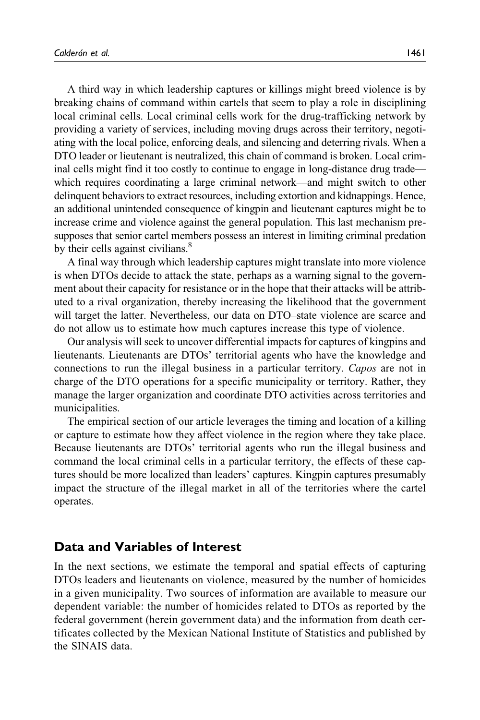A third way in which leadership captures or killings might breed violence is by breaking chains of command within cartels that seem to play a role in disciplining local criminal cells. Local criminal cells work for the drug-trafficking network by providing a variety of services, including moving drugs across their territory, negotiating with the local police, enforcing deals, and silencing and deterring rivals. When a DTO leader or lieutenant is neutralized, this chain of command is broken. Local criminal cells might find it too costly to continue to engage in long-distance drug trade which requires coordinating a large criminal network—and might switch to other delinquent behaviors to extract resources, including extortion and kidnappings. Hence, an additional unintended consequence of kingpin and lieutenant captures might be to increase crime and violence against the general population. This last mechanism presupposes that senior cartel members possess an interest in limiting criminal predation by their cells against civilians.<sup>8</sup>

A final way through which leadership captures might translate into more violence is when DTOs decide to attack the state, perhaps as a warning signal to the government about their capacity for resistance or in the hope that their attacks will be attributed to a rival organization, thereby increasing the likelihood that the government will target the latter. Nevertheless, our data on DTO–state violence are scarce and do not allow us to estimate how much captures increase this type of violence.

Our analysis will seek to uncover differential impacts for captures of kingpins and lieutenants. Lieutenants are DTOs' territorial agents who have the knowledge and connections to run the illegal business in a particular territory. Capos are not in charge of the DTO operations for a specific municipality or territory. Rather, they manage the larger organization and coordinate DTO activities across territories and municipalities.

The empirical section of our article leverages the timing and location of a killing or capture to estimate how they affect violence in the region where they take place. Because lieutenants are DTOs' territorial agents who run the illegal business and command the local criminal cells in a particular territory, the effects of these captures should be more localized than leaders' captures. Kingpin captures presumably impact the structure of the illegal market in all of the territories where the cartel operates.

#### Data and Variables of Interest

In the next sections, we estimate the temporal and spatial effects of capturing DTOs leaders and lieutenants on violence, measured by the number of homicides in a given municipality. Two sources of information are available to measure our dependent variable: the number of homicides related to DTOs as reported by the federal government (herein government data) and the information from death certificates collected by the Mexican National Institute of Statistics and published by the SINAIS data.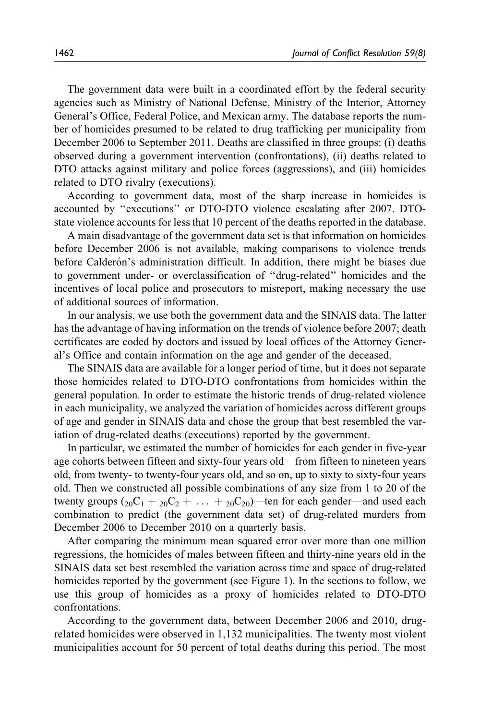The government data were built in a coordinated effort by the federal security agencies such as Ministry of National Defense, Ministry of the Interior, Attorney General's Office, Federal Police, and Mexican army. The database reports the number of homicides presumed to be related to drug trafficking per municipality from December 2006 to September 2011. Deaths are classified in three groups: (i) deaths observed during a government intervention (confrontations), (ii) deaths related to DTO attacks against military and police forces (aggressions), and (iii) homicides related to DTO rivalry (executions).

According to government data, most of the sharp increase in homicides is accounted by ''executions'' or DTO-DTO violence escalating after 2007. DTOstate violence accounts for less that 10 percent of the deaths reported in the database.

A main disadvantage of the government data set is that information on homicides before December 2006 is not available, making comparisons to violence trends before Calderón's administration difficult. In addition, there might be biases due to government under- or overclassification of ''drug-related'' homicides and the incentives of local police and prosecutors to misreport, making necessary the use of additional sources of information.

In our analysis, we use both the government data and the SINAIS data. The latter has the advantage of having information on the trends of violence before 2007; death certificates are coded by doctors and issued by local offices of the Attorney General's Office and contain information on the age and gender of the deceased.

The SINAIS data are available for a longer period of time, but it does not separate those homicides related to DTO-DTO confrontations from homicides within the general population. In order to estimate the historic trends of drug-related violence in each municipality, we analyzed the variation of homicides across different groups of age and gender in SINAIS data and chose the group that best resembled the variation of drug-related deaths (executions) reported by the government.

In particular, we estimated the number of homicides for each gender in five-year age cohorts between fifteen and sixty-four years old—from fifteen to nineteen years old, from twenty- to twenty-four years old, and so on, up to sixty to sixty-four years old. Then we constructed all possible combinations of any size from 1 to 20 of the twenty groups  $({}_{20}C_1 + {}_{20}C_2 + \ldots + {}_{20}C_{20})$ —ten for each gender—and used each combination to predict (the government data set) of drug-related murders from December 2006 to December 2010 on a quarterly basis.

After comparing the minimum mean squared error over more than one million regressions, the homicides of males between fifteen and thirty-nine years old in the SINAIS data set best resembled the variation across time and space of drug-related homicides reported by the government (see Figure 1). In the sections to follow, we use this group of homicides as a proxy of homicides related to DTO-DTO confrontations.

According to the government data, between December 2006 and 2010, drugrelated homicides were observed in 1,132 municipalities. The twenty most violent municipalities account for 50 percent of total deaths during this period. The most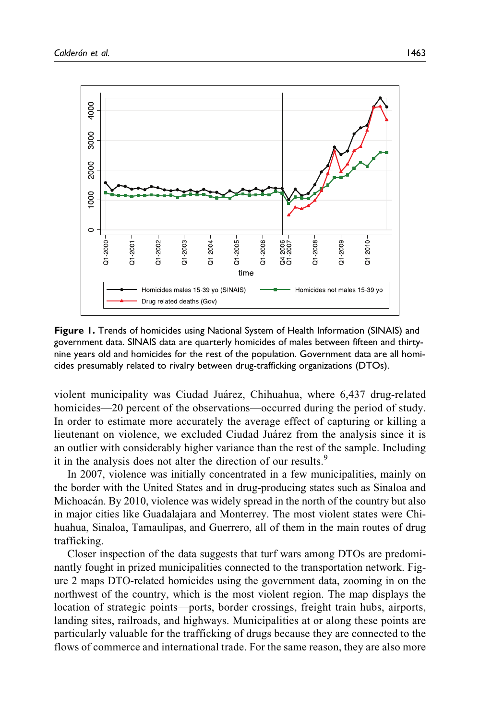

Figure 1. Trends of homicides using National System of Health Information (SINAIS) and government data. SINAIS data are quarterly homicides of males between fifteen and thirtynine years old and homicides for the rest of the population. Government data are all homicides presumably related to rivalry between drug-trafficking organizations (DTOs).

violent municipality was Ciudad Juárez, Chihuahua, where 6,437 drug-related homicides—20 percent of the observations—occurred during the period of study. In order to estimate more accurately the average effect of capturing or killing a lieutenant on violence, we excluded Ciudad Jua´rez from the analysis since it is an outlier with considerably higher variance than the rest of the sample. Including it in the analysis does not alter the direction of our results.<sup>9</sup>

In 2007, violence was initially concentrated in a few municipalities, mainly on the border with the United States and in drug-producing states such as Sinaloa and Michoacán. By 2010, violence was widely spread in the north of the country but also in major cities like Guadalajara and Monterrey. The most violent states were Chihuahua, Sinaloa, Tamaulipas, and Guerrero, all of them in the main routes of drug trafficking.

Closer inspection of the data suggests that turf wars among DTOs are predominantly fought in prized municipalities connected to the transportation network. Figure 2 maps DTO-related homicides using the government data, zooming in on the northwest of the country, which is the most violent region. The map displays the location of strategic points—ports, border crossings, freight train hubs, airports, landing sites, railroads, and highways. Municipalities at or along these points are particularly valuable for the trafficking of drugs because they are connected to the flows of commerce and international trade. For the same reason, they are also more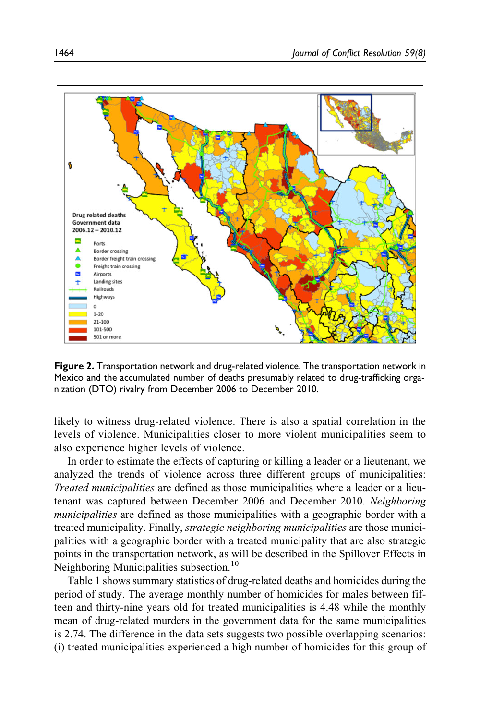

Figure 2. Transportation network and drug-related violence. The transportation network in Mexico and the accumulated number of deaths presumably related to drug-trafficking organization (DTO) rivalry from December 2006 to December 2010.

likely to witness drug-related violence. There is also a spatial correlation in the levels of violence. Municipalities closer to more violent municipalities seem to also experience higher levels of violence.

In order to estimate the effects of capturing or killing a leader or a lieutenant, we analyzed the trends of violence across three different groups of municipalities: Treated municipalities are defined as those municipalities where a leader or a lieutenant was captured between December 2006 and December 2010. Neighboring municipalities are defined as those municipalities with a geographic border with a treated municipality. Finally, strategic neighboring municipalities are those municipalities with a geographic border with a treated municipality that are also strategic points in the transportation network, as will be described in the Spillover Effects in Neighboring Municipalities subsection.<sup>10</sup>

Table 1 shows summary statistics of drug-related deaths and homicides during the period of study. The average monthly number of homicides for males between fifteen and thirty-nine years old for treated municipalities is 4.48 while the monthly mean of drug-related murders in the government data for the same municipalities is 2.74. The difference in the data sets suggests two possible overlapping scenarios: (i) treated municipalities experienced a high number of homicides for this group of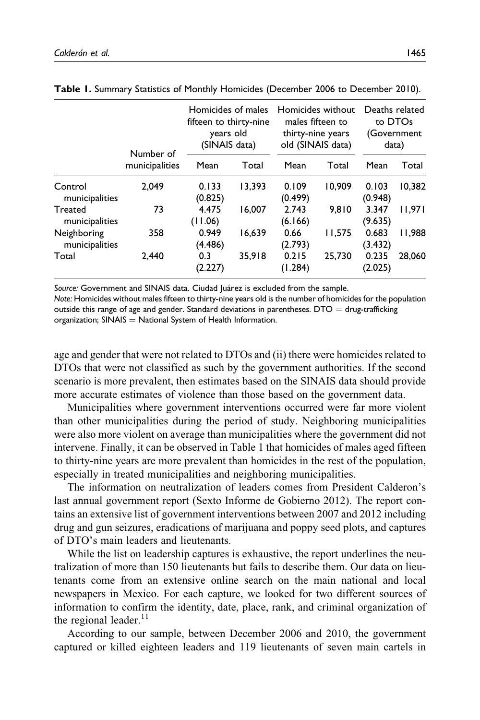|                                  | Number of      | Homicides of males<br>fifteen to thirty-nine<br>years old<br>(SINAIS data) |        | thirty-nine years | Homicides without<br>males fifteen to<br>old (SINAIS data) | to DTOs<br>data) | Deaths related<br>(Government |
|----------------------------------|----------------|----------------------------------------------------------------------------|--------|-------------------|------------------------------------------------------------|------------------|-------------------------------|
|                                  | municipalities | Mean                                                                       | Total  | Mean              | Total                                                      | Mean             | Total                         |
| Control<br>municipalities        | 2.049          | 0.133<br>(0.825)                                                           | 13.393 | 0.109<br>(0.499)  | 10.909                                                     | 0.103<br>(0.948) | 10,382                        |
| <b>Treated</b><br>municipalities | 73             | 4.475<br>(11.06)                                                           | 16.007 | 2.743<br>(6.166)  | 9.810                                                      | 3.347<br>(9.635) | 11.971                        |
| Neighboring<br>municipalities    | 358            | 0.949<br>(4.486)                                                           | 16.639 | 0.66<br>(2.793)   | 11,575                                                     | 0.683<br>(3.432) | 11.988                        |
| Total                            | 2.440          | 0.3<br>(2.227)                                                             | 35,918 | 0.215<br>(1.284)  | 25,730                                                     | 0.235<br>(2.025) | 28,060                        |

Table 1. Summary Statistics of Monthly Homicides (December 2006 to December 2010).

Source: Government and SINAIS data. Ciudad Juárez is excluded from the sample.

Note: Homicides without males fifteen to thirty-nine years old is the number of homicides for the population outside this range of age and gender. Standard deviations in parentheses.  $DTO = drug-trafficking$ organization;  $SINAIS = National System of Health Information.$ 

age and gender that were not related to DTOs and (ii) there were homicides related to DTOs that were not classified as such by the government authorities. If the second scenario is more prevalent, then estimates based on the SINAIS data should provide more accurate estimates of violence than those based on the government data.

Municipalities where government interventions occurred were far more violent than other municipalities during the period of study. Neighboring municipalities were also more violent on average than municipalities where the government did not intervene. Finally, it can be observed in Table 1 that homicides of males aged fifteen to thirty-nine years are more prevalent than homicides in the rest of the population, especially in treated municipalities and neighboring municipalities.

The information on neutralization of leaders comes from President Calderon's last annual government report (Sexto Informe de Gobierno 2012). The report contains an extensive list of government interventions between 2007 and 2012 including drug and gun seizures, eradications of marijuana and poppy seed plots, and captures of DTO's main leaders and lieutenants.

While the list on leadership captures is exhaustive, the report underlines the neutralization of more than 150 lieutenants but fails to describe them. Our data on lieutenants come from an extensive online search on the main national and local newspapers in Mexico. For each capture, we looked for two different sources of information to confirm the identity, date, place, rank, and criminal organization of the regional leader. $11$ 

According to our sample, between December 2006 and 2010, the government captured or killed eighteen leaders and 119 lieutenants of seven main cartels in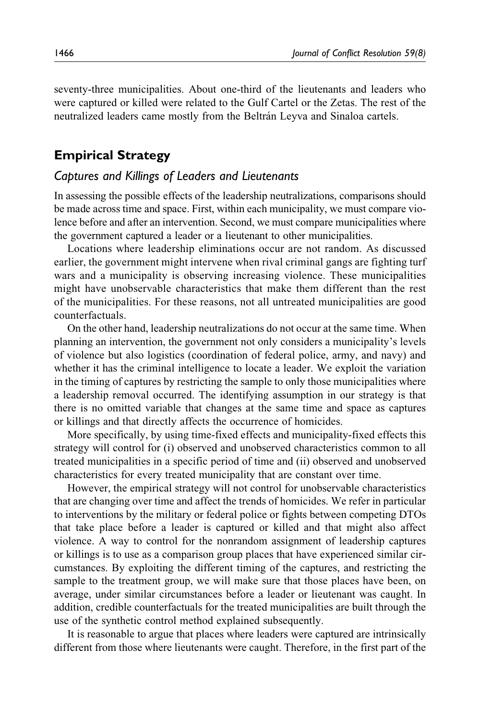seventy-three municipalities. About one-third of the lieutenants and leaders who were captured or killed were related to the Gulf Cartel or the Zetas. The rest of the neutralized leaders came mostly from the Beltrán Leyva and Sinaloa cartels.

# Empirical Strategy

#### Captures and Killings of Leaders and Lieutenants

In assessing the possible effects of the leadership neutralizations, comparisons should be made across time and space. First, within each municipality, we must compare violence before and after an intervention. Second, we must compare municipalities where the government captured a leader or a lieutenant to other municipalities.

Locations where leadership eliminations occur are not random. As discussed earlier, the government might intervene when rival criminal gangs are fighting turf wars and a municipality is observing increasing violence. These municipalities might have unobservable characteristics that make them different than the rest of the municipalities. For these reasons, not all untreated municipalities are good counterfactuals.

On the other hand, leadership neutralizations do not occur at the same time. When planning an intervention, the government not only considers a municipality's levels of violence but also logistics (coordination of federal police, army, and navy) and whether it has the criminal intelligence to locate a leader. We exploit the variation in the timing of captures by restricting the sample to only those municipalities where a leadership removal occurred. The identifying assumption in our strategy is that there is no omitted variable that changes at the same time and space as captures or killings and that directly affects the occurrence of homicides.

More specifically, by using time-fixed effects and municipality-fixed effects this strategy will control for (i) observed and unobserved characteristics common to all treated municipalities in a specific period of time and (ii) observed and unobserved characteristics for every treated municipality that are constant over time.

However, the empirical strategy will not control for unobservable characteristics that are changing over time and affect the trends of homicides. We refer in particular to interventions by the military or federal police or fights between competing DTOs that take place before a leader is captured or killed and that might also affect violence. A way to control for the nonrandom assignment of leadership captures or killings is to use as a comparison group places that have experienced similar circumstances. By exploiting the different timing of the captures, and restricting the sample to the treatment group, we will make sure that those places have been, on average, under similar circumstances before a leader or lieutenant was caught. In addition, credible counterfactuals for the treated municipalities are built through the use of the synthetic control method explained subsequently.

It is reasonable to argue that places where leaders were captured are intrinsically different from those where lieutenants were caught. Therefore, in the first part of the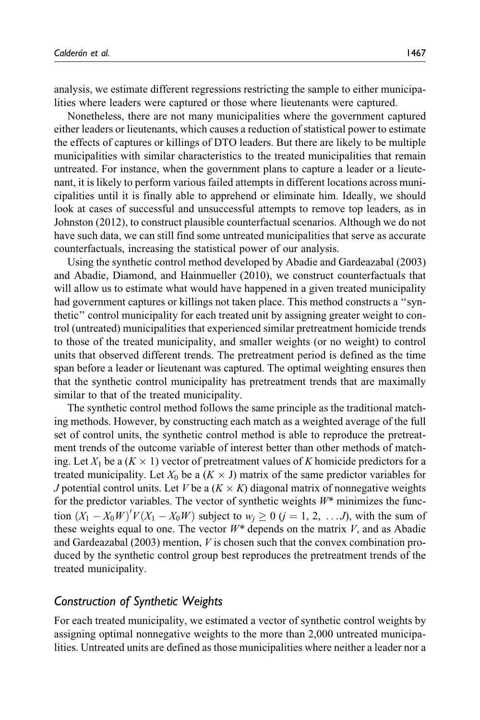analysis, we estimate different regressions restricting the sample to either municipalities where leaders were captured or those where lieutenants were captured.

Nonetheless, there are not many municipalities where the government captured either leaders or lieutenants, which causes a reduction of statistical power to estimate the effects of captures or killings of DTO leaders. But there are likely to be multiple municipalities with similar characteristics to the treated municipalities that remain untreated. For instance, when the government plans to capture a leader or a lieutenant, it is likely to perform various failed attempts in different locations across municipalities until it is finally able to apprehend or eliminate him. Ideally, we should look at cases of successful and unsuccessful attempts to remove top leaders, as in Johnston (2012), to construct plausible counterfactual scenarios. Although we do not have such data, we can still find some untreated municipalities that serve as accurate counterfactuals, increasing the statistical power of our analysis.

Using the synthetic control method developed by Abadie and Gardeazabal (2003) and Abadie, Diamond, and Hainmueller (2010), we construct counterfactuals that will allow us to estimate what would have happened in a given treated municipality had government captures or killings not taken place. This method constructs a ''synthetic'' control municipality for each treated unit by assigning greater weight to control (untreated) municipalities that experienced similar pretreatment homicide trends to those of the treated municipality, and smaller weights (or no weight) to control units that observed different trends. The pretreatment period is defined as the time span before a leader or lieutenant was captured. The optimal weighting ensures then that the synthetic control municipality has pretreatment trends that are maximally similar to that of the treated municipality.

The synthetic control method follows the same principle as the traditional matching methods. However, by constructing each match as a weighted average of the full set of control units, the synthetic control method is able to reproduce the pretreatment trends of the outcome variable of interest better than other methods of matching. Let  $X_1$  be a ( $K \times 1$ ) vector of pretreatment values of K homicide predictors for a treated municipality. Let  $X_0$  be a  $(K \times J)$  matrix of the same predictor variables for *J* potential control units. Let *V* be a  $(K \times K)$  diagonal matrix of nonnegative weights for the predictor variables. The vector of synthetic weights  $W^*$  minimizes the function  $(X_1 - X_0 W)'V(X_1 - X_0 W)$  subject to  $w_j \ge 0$   $(j = 1, 2, \ldots, J)$ , with the sum of these weights equal to one. The vector  $W^*$  depends on the matrix V, and as Abadie and Gardeazabal (2003) mention,  $V$  is chosen such that the convex combination produced by the synthetic control group best reproduces the pretreatment trends of the treated municipality.

# Construction of Synthetic Weights

For each treated municipality, we estimated a vector of synthetic control weights by assigning optimal nonnegative weights to the more than 2,000 untreated municipalities. Untreated units are defined as those municipalities where neither a leader nor a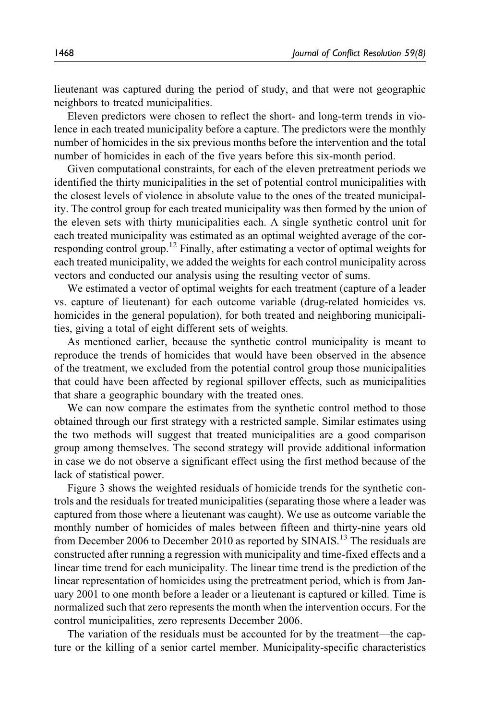lieutenant was captured during the period of study, and that were not geographic neighbors to treated municipalities.

Eleven predictors were chosen to reflect the short- and long-term trends in violence in each treated municipality before a capture. The predictors were the monthly number of homicides in the six previous months before the intervention and the total number of homicides in each of the five years before this six-month period.

Given computational constraints, for each of the eleven pretreatment periods we identified the thirty municipalities in the set of potential control municipalities with the closest levels of violence in absolute value to the ones of the treated municipality. The control group for each treated municipality was then formed by the union of the eleven sets with thirty municipalities each. A single synthetic control unit for each treated municipality was estimated as an optimal weighted average of the corresponding control group.12 Finally, after estimating a vector of optimal weights for each treated municipality, we added the weights for each control municipality across vectors and conducted our analysis using the resulting vector of sums.

We estimated a vector of optimal weights for each treatment (capture of a leader vs. capture of lieutenant) for each outcome variable (drug-related homicides vs. homicides in the general population), for both treated and neighboring municipalities, giving a total of eight different sets of weights.

As mentioned earlier, because the synthetic control municipality is meant to reproduce the trends of homicides that would have been observed in the absence of the treatment, we excluded from the potential control group those municipalities that could have been affected by regional spillover effects, such as municipalities that share a geographic boundary with the treated ones.

We can now compare the estimates from the synthetic control method to those obtained through our first strategy with a restricted sample. Similar estimates using the two methods will suggest that treated municipalities are a good comparison group among themselves. The second strategy will provide additional information in case we do not observe a significant effect using the first method because of the lack of statistical power.

Figure 3 shows the weighted residuals of homicide trends for the synthetic controls and the residuals for treated municipalities (separating those where a leader was captured from those where a lieutenant was caught). We use as outcome variable the monthly number of homicides of males between fifteen and thirty-nine years old from December 2006 to December 2010 as reported by SINAIS.<sup>13</sup> The residuals are constructed after running a regression with municipality and time-fixed effects and a linear time trend for each municipality. The linear time trend is the prediction of the linear representation of homicides using the pretreatment period, which is from January 2001 to one month before a leader or a lieutenant is captured or killed. Time is normalized such that zero represents the month when the intervention occurs. For the control municipalities, zero represents December 2006.

The variation of the residuals must be accounted for by the treatment—the capture or the killing of a senior cartel member. Municipality-specific characteristics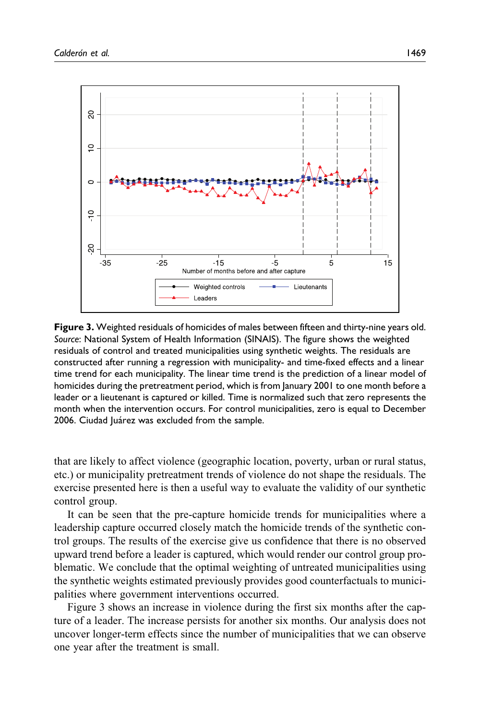

Figure 3. Weighted residuals of homicides of males between fifteen and thirty-nine years old. Source: National System of Health Information (SINAIS). The figure shows the weighted residuals of control and treated municipalities using synthetic weights. The residuals are constructed after running a regression with municipality- and time-fixed effects and a linear time trend for each municipality. The linear time trend is the prediction of a linear model of homicides during the pretreatment period, which is from January 2001 to one month before a leader or a lieutenant is captured or killed. Time is normalized such that zero represents the month when the intervention occurs. For control municipalities, zero is equal to December 2006. Ciudad Juárez was excluded from the sample.

that are likely to affect violence (geographic location, poverty, urban or rural status, etc.) or municipality pretreatment trends of violence do not shape the residuals. The exercise presented here is then a useful way to evaluate the validity of our synthetic control group.

It can be seen that the pre-capture homicide trends for municipalities where a leadership capture occurred closely match the homicide trends of the synthetic control groups. The results of the exercise give us confidence that there is no observed upward trend before a leader is captured, which would render our control group problematic. We conclude that the optimal weighting of untreated municipalities using the synthetic weights estimated previously provides good counterfactuals to municipalities where government interventions occurred.

Figure 3 shows an increase in violence during the first six months after the capture of a leader. The increase persists for another six months. Our analysis does not uncover longer-term effects since the number of municipalities that we can observe one year after the treatment is small.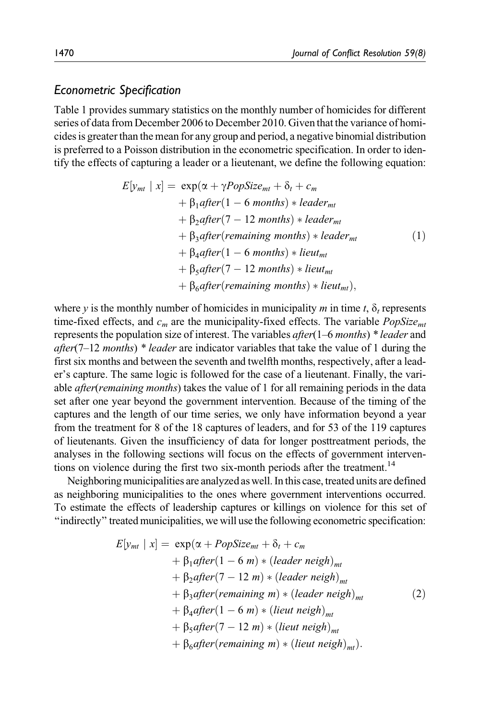# Econometric Specification

Table 1 provides summary statistics on the monthly number of homicides for different series of data from December 2006 to December 2010. Given that the variance of homicides is greater than the mean for any group and period, a negative binomial distribution is preferred to a Poisson distribution in the econometric specification. In order to identify the effects of capturing a leader or a lieutenant, we define the following equation:

$$
E[y_{mt} | x] = \exp(\alpha + \gamma PopSize_{mt} + \delta_t + c_m
$$
  
+  $\beta_1 after (1 - 6 months) * leader_{mt}$   
+  $\beta_2 after (7 - 12 months) * leader_{mt}$   
+  $\beta_3 after (remaining months) * leader_{mt}$   
+  $\beta_4 after (1 - 6 months) * lieu_{mt}$   
+  $\beta_5 after (7 - 12 months) * lieu_{mt}$   
+  $\beta_6 after (remaining months) * lieu_{mt}$ 

where y is the monthly number of homicides in municipality m in time t,  $\delta_t$  represents time-fixed effects, and  $c_m$  are the municipality-fixed effects. The variable  $PopSize<sub>mt</sub>$ represents the population size of interest. The variables  $after(1–6 months) * leader$  and  $after(7–12 months) * leader are indicator variables that take the value of 1 during the$ first six months and between the seventh and twelfth months, respectively, after a leader's capture. The same logic is followed for the case of a lieutenant. Finally, the variable *after(remaining months)* takes the value of 1 for all remaining periods in the data set after one year beyond the government intervention. Because of the timing of the captures and the length of our time series, we only have information beyond a year from the treatment for 8 of the 18 captures of leaders, and for 53 of the 119 captures of lieutenants. Given the insufficiency of data for longer posttreatment periods, the analyses in the following sections will focus on the effects of government interventions on violence during the first two six-month periods after the treatment.<sup>14</sup>

Neighboring municipalities are analyzed as well. In this case, treated units are defined as neighboring municipalities to the ones where government interventions occurred. To estimate the effects of leadership captures or killings on violence for this set of ''indirectly'' treated municipalities, we will use the following econometric specification:

$$
E[y_{mt} | x] = \exp(\alpha + PopSize_{mt} + \delta_t + c_m
$$
  
+  $\beta_1 after(1 - 6 m) * (leader neigh)_{mt}$   
+  $\beta_2 after(7 - 12 m) * (leader neigh)_{mt}$   
+  $\beta_3 after(remaining m) * (leader neigh)_{mt}$   
+  $\beta_4 after(1 - 6 m) * (lieut neigh)_{mt}$   
+  $\beta_5 after(7 - 12 m) * (lieut neigh)_{mt}$   
+  $\beta_6 after(remaining m) * (lieut neigh)_{mt}$ ).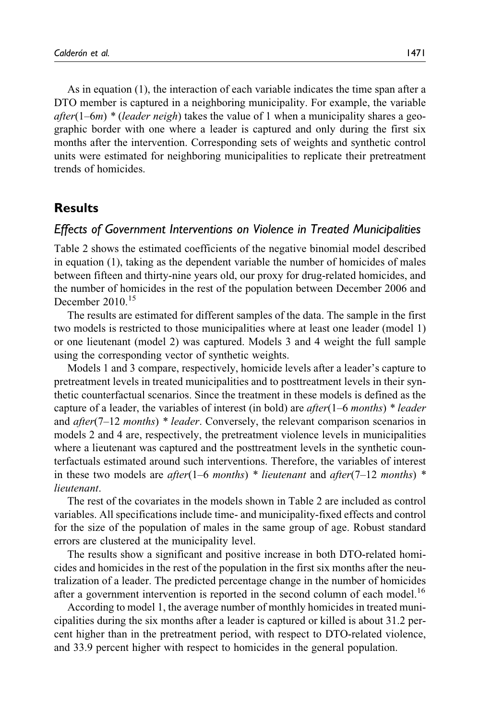As in equation (1), the interaction of each variable indicates the time span after a DTO member is captured in a neighboring municipality. For example, the variable  $after(1–6m) * (leader neigh)$  takes the value of 1 when a municipality shares a geographic border with one where a leader is captured and only during the first six months after the intervention. Corresponding sets of weights and synthetic control units were estimated for neighboring municipalities to replicate their pretreatment trends of homicides.

# **Results**

## Effects of Government Interventions on Violence in Treated Municipalities

Table 2 shows the estimated coefficients of the negative binomial model described in equation (1), taking as the dependent variable the number of homicides of males between fifteen and thirty-nine years old, our proxy for drug-related homicides, and the number of homicides in the rest of the population between December 2006 and December 2010.<sup>15</sup>

The results are estimated for different samples of the data. The sample in the first two models is restricted to those municipalities where at least one leader (model 1) or one lieutenant (model 2) was captured. Models 3 and 4 weight the full sample using the corresponding vector of synthetic weights.

Models 1 and 3 compare, respectively, homicide levels after a leader's capture to pretreatment levels in treated municipalities and to posttreatment levels in their synthetic counterfactual scenarios. Since the treatment in these models is defined as the capture of a leader, the variables of interest (in bold) are *after*( $1-6$  *months*) \* *leader* and  $after(7-12 months) * leader$ . Conversely, the relevant comparison scenarios in models 2 and 4 are, respectively, the pretreatment violence levels in municipalities where a lieutenant was captured and the posttreatment levels in the synthetic counterfactuals estimated around such interventions. Therefore, the variables of interest in these two models are *after*(1–6 *months*) \* *lieutenant* and *after*(7–12 *months*) \* lieutenant.

The rest of the covariates in the models shown in Table 2 are included as control variables. All specifications include time- and municipality-fixed effects and control for the size of the population of males in the same group of age. Robust standard errors are clustered at the municipality level.

The results show a significant and positive increase in both DTO-related homicides and homicides in the rest of the population in the first six months after the neutralization of a leader. The predicted percentage change in the number of homicides after a government intervention is reported in the second column of each model.<sup>16</sup>

According to model 1, the average number of monthly homicides in treated municipalities during the six months after a leader is captured or killed is about 31.2 percent higher than in the pretreatment period, with respect to DTO-related violence, and 33.9 percent higher with respect to homicides in the general population.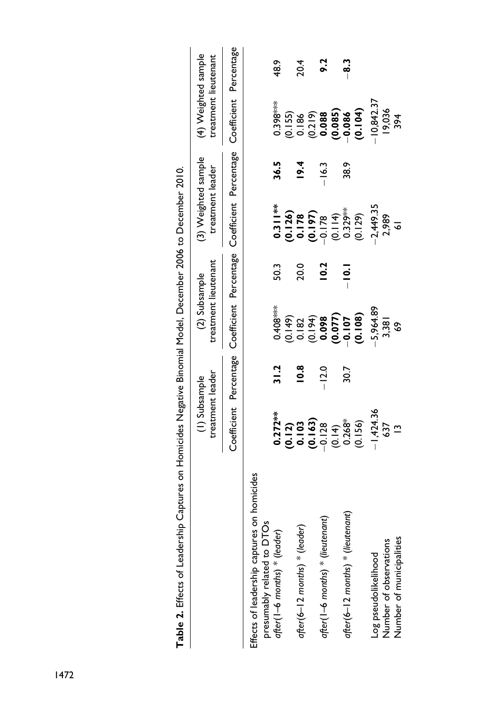|                                                                            | treatment leader<br>(I) Subsample                                                                       |         | (2) Subsample                                                                                                                    | treatment lieutenant | (3) Weighted sample<br>treatment leader                                                           |         | (4) Weighted sample                                                                      | treatment lieutenant |
|----------------------------------------------------------------------------|---------------------------------------------------------------------------------------------------------|---------|----------------------------------------------------------------------------------------------------------------------------------|----------------------|---------------------------------------------------------------------------------------------------|---------|------------------------------------------------------------------------------------------|----------------------|
|                                                                            | Coefficient Percentage Coefficient Percentage                                                           |         |                                                                                                                                  |                      | Coefficient Percentage Coefficient Percentage                                                     |         |                                                                                          |                      |
| Effects of leadership captures on homicides<br>presumably related to DTOs  |                                                                                                         |         |                                                                                                                                  |                      |                                                                                                   |         |                                                                                          |                      |
| after(1-6 months) * (leader)                                               |                                                                                                         | 31.2    | $0.408***$                                                                                                                       | 50.3                 |                                                                                                   | 36.5    | $0.398***$                                                                               | 48.9                 |
| after(6-12 months) * (leader)                                              |                                                                                                         | 10.8    |                                                                                                                                  | 20.0                 |                                                                                                   | 19.4    |                                                                                          | 20.4                 |
| after(I-6 months) * (lieutenant)                                           |                                                                                                         | $-12.0$ |                                                                                                                                  | 10.2                 |                                                                                                   | $-16.3$ |                                                                                          | 9.2                  |
| after(6-12 months) * (lieutenant)                                          | $0.272$<br>$0.12$ )<br>$0.03$<br>$0.03$<br>$0.03$<br>$0.04$<br>$0.015$<br>$0.015$<br>$0.015$<br>$0.015$ | 30.7    | $(149)$<br>$(182)$<br>$(182)$<br>$(182)$<br>$(182)$<br>$(182)$<br>$(182)$<br>$(182)$<br>$(182)$<br>$(182)$<br>$(182)$<br>$(182)$ | $\frac{1}{2}$        | $0.311**$ $0.126$ $0.178$ $0.178$ $0.178$ $0.178$ $0.178$ $0.178$ $0.126$ $0.178$ $0.129$ $0.129$ | 38.9    | $(0.155)$<br>$0.186$<br>$0.219$<br>$0.008$<br>$0.008$<br>$0.0086$<br>$0.0086$<br>$0.004$ | ္က                   |
| Number of municipalities<br>Number of observations<br>Log pseudolikelihood | $-1,424.36$<br>637                                                                                      |         | $-5,964.89$<br>3,381                                                                                                             |                      | $-2,449.35$<br>2,989<br>61                                                                        |         | 10,842.37<br>19,036<br>394                                                               |                      |

Table 2. Effects of Leadership Captures on Homicides Negative Binomial Model, December 2006 to December 2010. Table 2. Effects of Leadership Captures on Homicides Negative Binomial Model, December 2006 to December 2010.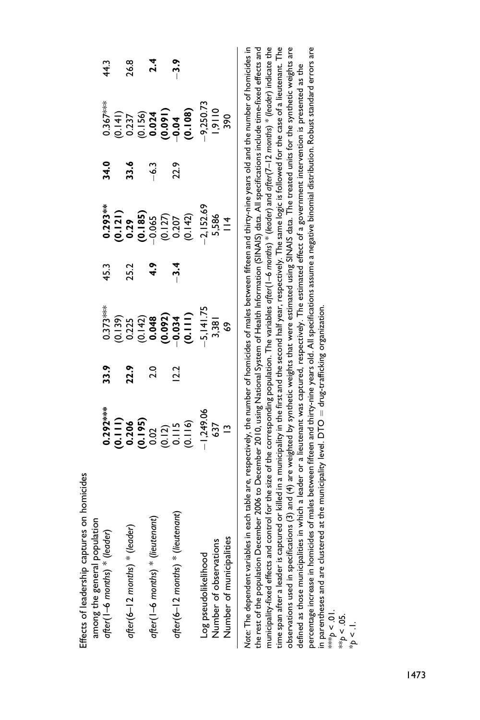|                              | $\frac{4}{3}$                | 26.8                          |                                                  | ن<br>ن                  |                                                                                                                                                                                                                                                                                                         |                      |                        |                            |  |
|------------------------------|------------------------------|-------------------------------|--------------------------------------------------|-------------------------|---------------------------------------------------------------------------------------------------------------------------------------------------------------------------------------------------------------------------------------------------------------------------------------------------------|----------------------|------------------------|----------------------------|--|
|                              |                              |                               |                                                  |                         |                                                                                                                                                                                                                                                                                                         |                      |                        |                            |  |
|                              | 34.0                         | 33.6                          | $-6.3$                                           | 22.9                    |                                                                                                                                                                                                                                                                                                         |                      |                        |                            |  |
|                              |                              |                               |                                                  |                         | $\begin{array}{c} 0.293^{**} \\ (0.121) \\ 0.29 \\ (0.185) \\ (0.185) \\ (0.127) \\ (0.127) \\ (0.127) \\ (0.127) \\ (0.142) \\ 5,586 \\ 14 \end{array}$                                                                                                                                                |                      |                        |                            |  |
|                              | ្ឆ                           | 25.2                          |                                                  | $-3.4$                  |                                                                                                                                                                                                                                                                                                         |                      |                        |                            |  |
|                              |                              |                               |                                                  |                         | $\begin{array}{l} 0.373 \\ 0.139 \\ 0.125 \\ 0.225 \\ 0.043 \\ 0.043 \\ 0.034 \\ 0.0141 \\ 0.043 \\ 0.0021 \\ 0.011 \\ 0.014 \\ 0.011 \\ 0.014 \\ 0.011 \\ 0.01 \\ 0.01 \\ 0.01 \\ 0.01 \\ 0.01 \\ 0.01 \\ 0.01 \\ 0.01 \\ 0.01 \\ 0.01 \\ 0.01 \\ 0.01 \\ 0.01 \\ 0.01 \\ 0.01 \\ 0.01 \\ 0.01 \\ 0.0$ |                      |                        |                            |  |
|                              | 33.9                         | 2.9                           | ິດ<br>2                                          | 22                      |                                                                                                                                                                                                                                                                                                         |                      |                        |                            |  |
|                              |                              |                               |                                                  |                         | $\begin{array}{l} 0.292\overset{***}{\longrightarrow} \\ (0.111) \\ 0.206 \\ (0.195) \\ (0.02) \\ (0.11) \\ (0.11) \\ (0.11) \\ (0.11) \\ (0.11) \\ (-1,249.06 \\ -1,249.06 \\ 637 \end{array}$                                                                                                         |                      |                        |                            |  |
| among the general population | after(I-6 months) * (leader) | after(6–12 months) * (leader) | itenan<br>$a$ fter $($ l $-$ 6 months $)$ * (lie | after(6-12 months) * (l |                                                                                                                                                                                                                                                                                                         | Log pseudolikelihood | Number of observations | ă<br>Number of municipalit |  |

Note: The dependent variables in each table are, respectively, the number of homicides of males between fifteen and thirty-nine years old and the number of homicides in time span after a leader is captured or killed in a municipality in the first and the second half year, respectively. The same logic is followed for the case of a lieutenant. The the rest of the population December 2006 to December 2010, using National System of Health Information (SINAIS) data. All specifications include time-fixed effects and municipality-fixed effects and control for the size of the corresponding population. The variables ofter(I-6 months) \* (leader) and ofter(7-12 months) \* (leader) indicate the percentage increase in homicides of males between fifteen and thirty-nine years old. All specifications assume a negative binomial distribution. Robust standard errors are Note: The dependent variables in each table are, respectively, the number of homicides of males between fifteen and thirty-nine years old and the number of homicides in the rest of the population December 2006 to December 2010, using National System of Health Information (SINAIS) data. All specifications include time-fixed effects and municipality-fixed effects and control for the size of the corresponding population. The variables after(I–6 months) \* (leader) and after(7–12 months) \* (leader) indicate the time span after a leader is captured or killed in a municipality in the first and the second half year, respectively. The same logic is followed for the case of a lieutenant. The observations used in specifications (3) and (4) are weighted by synthetic weights that were estimated using SINAIS data. The treated units for the synthetic weights are observations used in specifications (3) and (4) are weighted by synthetic weights that were estimated using SINAIS data. The treated units for the synthetic weights are percentage increase in homicides of males between fifteen and thirty-nine years old. All specifications assume a negative binomial distribution. Robust standard errors are defined as those municipalities in which a leader or a lieutenant was captured, respectively. The estimated effect of a government intervention is presented as the defined as those municipalities in which a leader or a lieutenant was captured, respectively. The estimated effect of a government intervention is presented as the in parentheses and are clustered at the municipality level.  $\text{DTO} = \text{drug-trafficking organization}$ . in parentheses and are clustered at the municipality level. DTO  $=$  drug-trafficking organization.  $\Rightarrow$  d<sub>\*\*\*</sub>

 $\nu_{\rm p} < 0.5$ 

\*p < .1.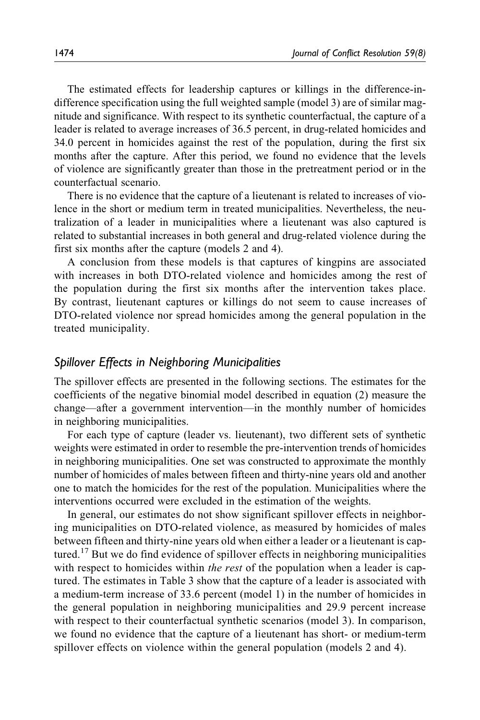The estimated effects for leadership captures or killings in the difference-indifference specification using the full weighted sample (model 3) are of similar magnitude and significance. With respect to its synthetic counterfactual, the capture of a leader is related to average increases of 36.5 percent, in drug-related homicides and 34.0 percent in homicides against the rest of the population, during the first six months after the capture. After this period, we found no evidence that the levels of violence are significantly greater than those in the pretreatment period or in the counterfactual scenario.

There is no evidence that the capture of a lieutenant is related to increases of violence in the short or medium term in treated municipalities. Nevertheless, the neutralization of a leader in municipalities where a lieutenant was also captured is related to substantial increases in both general and drug-related violence during the first six months after the capture (models 2 and 4).

A conclusion from these models is that captures of kingpins are associated with increases in both DTO-related violence and homicides among the rest of the population during the first six months after the intervention takes place. By contrast, lieutenant captures or killings do not seem to cause increases of DTO-related violence nor spread homicides among the general population in the treated municipality.

#### Spillover Effects in Neighboring Municipalities

The spillover effects are presented in the following sections. The estimates for the coefficients of the negative binomial model described in equation (2) measure the change—after a government intervention—in the monthly number of homicides in neighboring municipalities.

For each type of capture (leader vs. lieutenant), two different sets of synthetic weights were estimated in order to resemble the pre-intervention trends of homicides in neighboring municipalities. One set was constructed to approximate the monthly number of homicides of males between fifteen and thirty-nine years old and another one to match the homicides for the rest of the population. Municipalities where the interventions occurred were excluded in the estimation of the weights.

In general, our estimates do not show significant spillover effects in neighboring municipalities on DTO-related violence, as measured by homicides of males between fifteen and thirty-nine years old when either a leader or a lieutenant is captured.<sup>17</sup> But we do find evidence of spillover effects in neighboring municipalities with respect to homicides within *the rest* of the population when a leader is captured. The estimates in Table 3 show that the capture of a leader is associated with a medium-term increase of 33.6 percent (model 1) in the number of homicides in the general population in neighboring municipalities and 29.9 percent increase with respect to their counterfactual synthetic scenarios (model 3). In comparison, we found no evidence that the capture of a lieutenant has short- or medium-term spillover effects on violence within the general population (models 2 and 4).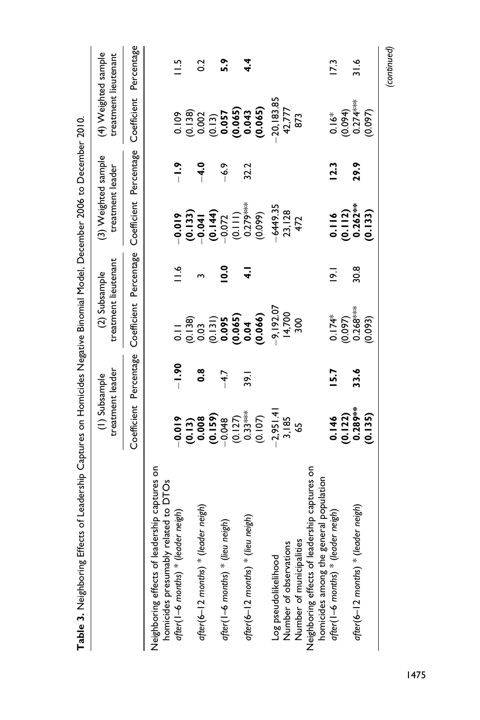| Table 3. Neighboring Effects of Leadership Captures on Homicides Negative Binomial Model, December 2006 to December 2010.   |                                                                                                                 |                        |                                                                                  |                                       |                                                                                                                      |                        |                                                                                      |                 |
|-----------------------------------------------------------------------------------------------------------------------------|-----------------------------------------------------------------------------------------------------------------|------------------------|----------------------------------------------------------------------------------|---------------------------------------|----------------------------------------------------------------------------------------------------------------------|------------------------|--------------------------------------------------------------------------------------|-----------------|
|                                                                                                                             | treatment leader<br>(I) Subsample                                                                               |                        |                                                                                  | treatment lieutenant<br>(2) Subsample | treatment leader                                                                                                     | (3) Weighted sample    | (4) Weighted sample<br>treatment lieutenant                                          |                 |
|                                                                                                                             |                                                                                                                 | Coefficient Percentage |                                                                                  | Coefficient Percentage                |                                                                                                                      | Coefficient Percentage | Coefficient                                                                          | Percentage      |
| Neighboring effects of leadership captures on<br>homicides presumably related to DTOs                                       |                                                                                                                 |                        |                                                                                  |                                       |                                                                                                                      |                        |                                                                                      |                 |
| after(1-6 months) * (leader neigh)                                                                                          |                                                                                                                 | $-1.90$                |                                                                                  | $\frac{6}{11}$                        |                                                                                                                      | $-1.9$                 |                                                                                      | $\frac{15}{11}$ |
| after(6-12 months) * (leader neigh)                                                                                         |                                                                                                                 | $\ddot{\mathbf{0}}$ .8 |                                                                                  |                                       |                                                                                                                      | $-4.0$                 |                                                                                      | $\overline{0}$  |
| after(I-6 months) * (lieu neigh)                                                                                            |                                                                                                                 | $-47$                  |                                                                                  | $\frac{0}{2}$                         |                                                                                                                      | $-6.9$                 |                                                                                      | 5.9             |
| after(6-12 months) * (lieu neigh)                                                                                           | $-0.019$<br>$-0.008$<br>$0.008$<br>$-0.048$<br>$-0.048$<br>$-0.127$<br>$-0.03$<br>$-0.07$<br>$-0.07$<br>$-0.07$ | $\overline{39}$ .      | $0.11$<br>$0.138$<br>$0.03$<br>$0.03$<br>$0.00$<br>$0.006$<br>$0.066$<br>$0.066$ | $\vec{+}$                             | $-0.019$<br>$-0.133$<br>$-0.041$<br>$-0.041$<br>$-0.072$<br>$-0.073$<br>$-0.073$<br>$-0.073$<br>$-0.073$<br>$-0.073$ | 32.2                   | $0.109$<br>$0.138$<br>$0.002$<br>$0.057$<br>$0.065$<br>$0.065$<br>$0.065$<br>$0.065$ | प.<br>प         |
| Neighboring effects of leadership captures on<br>Number of municipalities<br>Number of observations<br>Log pseudolikelihood | $-2,951.41$<br>3, 185<br>65                                                                                     |                        | $-9,192.07$<br>14,700<br>$\frac{8}{2}$                                           |                                       | $-6449.35$<br>23, 128<br>472                                                                                         |                        | $-20,183.85$<br>42,777<br>873                                                        |                 |
| homicides among the general population<br>after(I-6 months) * (leader neigh)                                                | $0.146$<br>(0.122)<br>0.289***                                                                                  | 5.7                    | $\frac{0.174^*}{(0.097)}$<br>0.268***                                            | <u>。</u>                              | $0.116$<br>(0.112)<br>0.262***                                                                                       | $\overline{2.3}$       | $0.16*$                                                                              | $\overline{13}$ |
| after(6-12 months) * (leader neigh)                                                                                         | (0.135)                                                                                                         | 33.6                   | (0.093)                                                                          | 30.8                                  | (0.133)                                                                                                              | 29.9                   | $(0.094)$<br>0.274***<br>(0.097)                                                     | 31.6            |
|                                                                                                                             |                                                                                                                 |                        |                                                                                  |                                       |                                                                                                                      |                        |                                                                                      | (continued)     |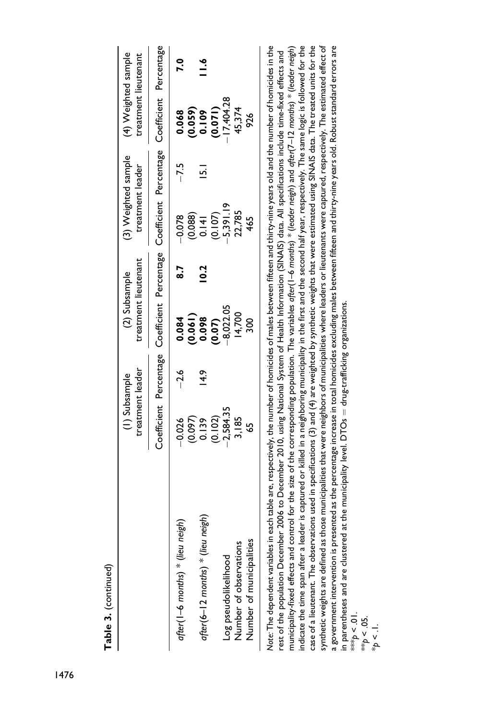|                                     | treatment leader<br>(1) Subsample                                  |            | (2) Subsample                                                      | treatment lieutenant |                                                                                       | (3) Weighted sample<br>treatment leader |                                                                                               | (4) Weighted sample<br>treatment lieutenant |
|-------------------------------------|--------------------------------------------------------------------|------------|--------------------------------------------------------------------|----------------------|---------------------------------------------------------------------------------------|-----------------------------------------|-----------------------------------------------------------------------------------------------|---------------------------------------------|
|                                     |                                                                    |            |                                                                    |                      |                                                                                       |                                         | Coefficient Percentage Coefficient Percentage Coefficient Percentage Coefficient Percentage   |                                             |
| neigh<br>after(1-6 months) * (lieu  |                                                                    | $-2.6$     |                                                                    | នូ                   |                                                                                       |                                         |                                                                                               | S                                           |
| neigh<br>after(6-12 months) * (lieu | 0,026<br>(0,097)<br>(0,139 384.35<br>(0,102)<br>(3,185<br>(3,185 - | $\ddot{ }$ | 0.084<br>(0.061)<br>0.098<br>0.07)<br>0.022.05<br>14,700<br>14,700 | $\frac{2}{10}$       | $-0.078$<br>$(0.088)$<br>$0.141$<br>$(0.107)$<br>$(0.107)$<br>$-5,391.19$<br>$22,785$ | 5                                       | $\begin{array}{c} 0.068 \\ (0.059) \\ 0.109 \\ (0.071) \\ (0.071) \\ (-17,404.28 \end{array}$ | $\frac{8}{1}$                               |
| Log pseudolikelihood                |                                                                    |            |                                                                    |                      |                                                                                       |                                         |                                                                                               |                                             |
| Number of observations              |                                                                    |            |                                                                    |                      |                                                                                       |                                         | 45,374                                                                                        |                                             |
| Number of municipalities            |                                                                    |            |                                                                    |                      | 465                                                                                   |                                         | 926                                                                                           |                                             |
|                                     |                                                                    |            |                                                                    |                      |                                                                                       |                                         |                                                                                               |                                             |

indicate the time span after a leader is captured or killed in a neighboring municipality in the first and the second half year, respectively. The same logic is followed for the Note: The dependent variables in each table are, respectively, the number of homicides of males between fifteen and thirty-nine years old and the number of homicides in the case of a lieutenant. The observations used in specifications (3) and (4) are weighted by synthetic weights that were estimated using SINAIS data. The treated units for the synthetic weights are defined as those municipalities that were neighbors of municipalities where leaders or lieutenants were captured, respectively. The estimated effect of a government intervention is presented as the percentage increase in total homicides excluding males between fitteen and thirty-nine years old. Robust standard errors are Note: The dependent variables in each table are, respectively, the number of homicides of males between fifteen and thirty-nine years old and the number of homicides in the municipality-fixed effects and control for the size of the corresponding population. The variables after(1–6 months) \* (leader neigh) and after(7–12 months) \* (leader neigh) indicate the time span after a leader is captured or killed in a neighboring municipality in the first and the second half year, respectively. The same logic is followed for the case of a lieutenant. The observations used in specifications (3) and (4) are weighted by synthetic weights that were estimated using SINAIS data. The treated units for the synthetic weights are defined as those municipalities that were neighbors of municipalities where leaders or lieutenants were captured, respectively. The estimated effect of a government intervention is presented as the percentage increase in total homicides excluding males between fifteen and thirty-nine years old. Robust standard errors are municipality-fixed effects and control for the size of the corresponding population. The variables ofter(1-6 months) \* (leader neigh) and ofter(7-12 months) \* (leader neigh) rest of the population December 2006 to December 2010, using National System of Health Information (SINAIS) data. All specifications include time-fixed effects and rest of the population December 2006 to December 2010, using National System of Health Information (SINAIS) data. All specifications include time-fixed effects and in parentheses and are clustered at the municipality level. DTOs = drug-trafficking organizations. in parentheses and are clustered at the municipality level. DTOs  $=$  drug-trafficking organizations.  $\cdot$  10.  $>$   $\sim$   $\star$ 

 $*$ p < .05.

\*p < .1.

Table 3. (continued)

Table 3. (continued)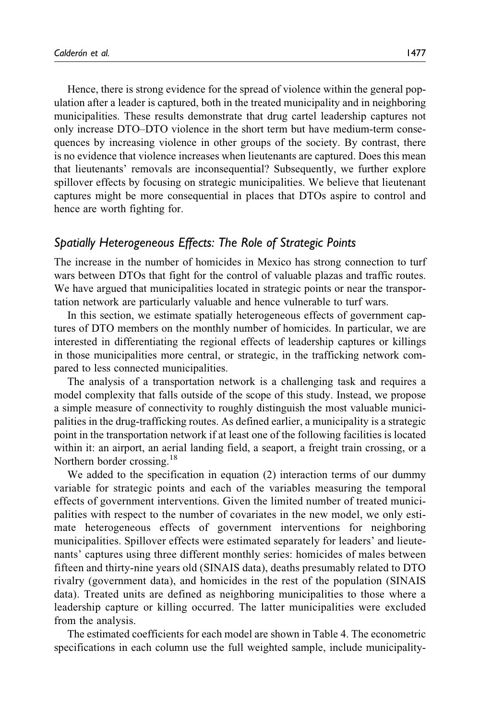Hence, there is strong evidence for the spread of violence within the general population after a leader is captured, both in the treated municipality and in neighboring municipalities. These results demonstrate that drug cartel leadership captures not only increase DTO–DTO violence in the short term but have medium-term consequences by increasing violence in other groups of the society. By contrast, there is no evidence that violence increases when lieutenants are captured. Does this mean that lieutenants' removals are inconsequential? Subsequently, we further explore spillover effects by focusing on strategic municipalities. We believe that lieutenant captures might be more consequential in places that DTOs aspire to control and hence are worth fighting for.

#### Spatially Heterogeneous Effects: The Role of Strategic Points

The increase in the number of homicides in Mexico has strong connection to turf wars between DTOs that fight for the control of valuable plazas and traffic routes. We have argued that municipalities located in strategic points or near the transportation network are particularly valuable and hence vulnerable to turf wars.

In this section, we estimate spatially heterogeneous effects of government captures of DTO members on the monthly number of homicides. In particular, we are interested in differentiating the regional effects of leadership captures or killings in those municipalities more central, or strategic, in the trafficking network compared to less connected municipalities.

The analysis of a transportation network is a challenging task and requires a model complexity that falls outside of the scope of this study. Instead, we propose a simple measure of connectivity to roughly distinguish the most valuable municipalities in the drug-trafficking routes. As defined earlier, a municipality is a strategic point in the transportation network if at least one of the following facilities is located within it: an airport, an aerial landing field, a seaport, a freight train crossing, or a Northern border crossing.<sup>18</sup>

We added to the specification in equation (2) interaction terms of our dummy variable for strategic points and each of the variables measuring the temporal effects of government interventions. Given the limited number of treated municipalities with respect to the number of covariates in the new model, we only estimate heterogeneous effects of government interventions for neighboring municipalities. Spillover effects were estimated separately for leaders' and lieutenants' captures using three different monthly series: homicides of males between fifteen and thirty-nine years old (SINAIS data), deaths presumably related to DTO rivalry (government data), and homicides in the rest of the population (SINAIS data). Treated units are defined as neighboring municipalities to those where a leadership capture or killing occurred. The latter municipalities were excluded from the analysis.

The estimated coefficients for each model are shown in Table 4. The econometric specifications in each column use the full weighted sample, include municipality-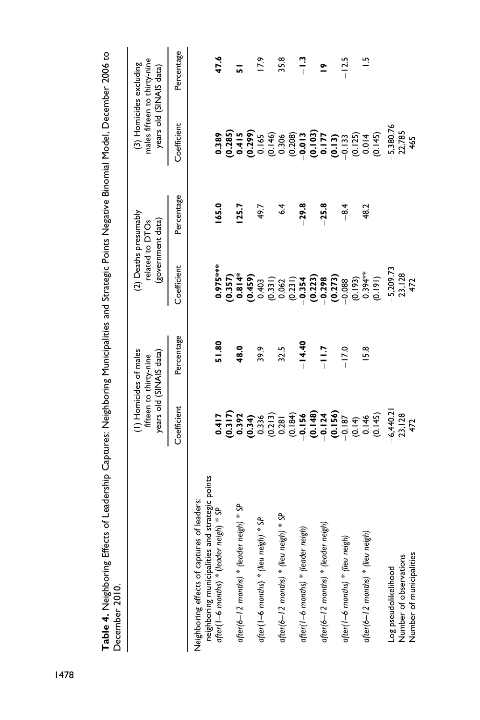| December 2010.                                                                                    |                                                                             |            |                                                                                                                                                                                                                |                 |                                                                                                                                                                   |                                                                                    |
|---------------------------------------------------------------------------------------------------|-----------------------------------------------------------------------------|------------|----------------------------------------------------------------------------------------------------------------------------------------------------------------------------------------------------------------|-----------------|-------------------------------------------------------------------------------------------------------------------------------------------------------------------|------------------------------------------------------------------------------------|
|                                                                                                   | (I) Homicides of males<br>years old (SINAIS data)<br>fifteen to thirty-nine |            | (2) Deaths presumably<br>(government data)                                                                                                                                                                     | related to DTOs |                                                                                                                                                                   | males fifteen to thirty-nine<br>(3) Homicides excluding<br>years old (SINAIS data) |
|                                                                                                   | Coefficient                                                                 | Percentage | Coefficient                                                                                                                                                                                                    | Percentage      | Coefficient                                                                                                                                                       | Percentage                                                                         |
| neighboring municipalities and strategic points<br>es of leaders<br>Neighboring effects of captur |                                                                             |            |                                                                                                                                                                                                                |                 |                                                                                                                                                                   |                                                                                    |
| after(I-6 months) * (leader neigh) * SP                                                           |                                                                             | 51.80      | $0.975***$<br>$(0.357)$<br>$0.814**$<br>$0.459)$<br>$0.459)$                                                                                                                                                   | 165.0           |                                                                                                                                                                   | 47.6                                                                               |
|                                                                                                   |                                                                             |            |                                                                                                                                                                                                                |                 |                                                                                                                                                                   |                                                                                    |
| after(6-12 months) * (leader neigh) * SP                                                          |                                                                             | 48.0       |                                                                                                                                                                                                                | 125.7           | $0.388$<br>$0.415$<br>$0.415$<br>$0.415$<br>$0.415$<br>$0.415$<br>$0.415$<br>$0.415$<br>$0.415$<br>$0.415$<br>$0.415$<br>$0.415$<br>$0.415$<br>$0.415$<br>$0.415$ |                                                                                    |
|                                                                                                   |                                                                             |            |                                                                                                                                                                                                                |                 |                                                                                                                                                                   |                                                                                    |
| after(I-6 months) * (lieu neigh) * SP                                                             |                                                                             | 39.9       |                                                                                                                                                                                                                | 49.7            |                                                                                                                                                                   | 17.9                                                                               |
|                                                                                                   |                                                                             |            |                                                                                                                                                                                                                |                 |                                                                                                                                                                   |                                                                                    |
| after(6-12 months) * (lieu neigh) * SP                                                            |                                                                             | 32.5       |                                                                                                                                                                                                                | $\frac{4}{6}$   |                                                                                                                                                                   | 35.8                                                                               |
|                                                                                                   |                                                                             |            |                                                                                                                                                                                                                |                 |                                                                                                                                                                   |                                                                                    |
| after(I-6 months) * (leader neigh)                                                                |                                                                             | $-14.40$   |                                                                                                                                                                                                                | 29.8            |                                                                                                                                                                   | $\frac{3}{1}$                                                                      |
|                                                                                                   |                                                                             |            |                                                                                                                                                                                                                |                 |                                                                                                                                                                   |                                                                                    |
| after(6-12 months) * (leader neigh)                                                               |                                                                             | $-11.7$    |                                                                                                                                                                                                                | $-25.8$         |                                                                                                                                                                   | <u>o</u>                                                                           |
|                                                                                                   |                                                                             |            |                                                                                                                                                                                                                |                 |                                                                                                                                                                   |                                                                                    |
| after(1-6 months) * (lieu neigh)                                                                  |                                                                             | $-17.0$    | $(0.331)$ $(0.062)$ $(0.0231)$ $(0.0133)$ $(0.0133)$ $(0.0133)$ $(0.0133)$ $(0.0133)$ $(0.0133)$ $(0.0133)$ $(0.0133)$ $(0.0133)$ $(0.0133)$ $(0.0133)$ $(0.0133)$ $(0.0133)$ $(0.0133)$ $(0.0133)$ $(0.0133)$ | $-8.4$          |                                                                                                                                                                   | $-12.5$                                                                            |
|                                                                                                   |                                                                             |            |                                                                                                                                                                                                                |                 |                                                                                                                                                                   |                                                                                    |
| after(6-12 months) * (lieu neigh)                                                                 |                                                                             | 15.8       |                                                                                                                                                                                                                | 48.2            |                                                                                                                                                                   | $\ddot{ }$                                                                         |
|                                                                                                   | (0.145)                                                                     |            | (161.0)                                                                                                                                                                                                        |                 |                                                                                                                                                                   |                                                                                    |
| Log pseudolikelihood                                                                              |                                                                             |            |                                                                                                                                                                                                                |                 |                                                                                                                                                                   |                                                                                    |
| Number of observations                                                                            | $-6,440.21$<br>23,128                                                       |            | $-5,209.73$<br>$23,128$                                                                                                                                                                                        |                 | -5,380.76<br>22,785                                                                                                                                               |                                                                                    |
| Number of municipalities                                                                          | 472                                                                         |            | 472                                                                                                                                                                                                            |                 | 465                                                                                                                                                               |                                                                                    |

Table 4. Neighboring Effects of Leadership Captures: Neighboring Municipalities and Strategic Points Negative Binomial Model. December 2006 to Table 4. Neighboring Effects of Leadership Captures: Neighboring Municipalities and Strategic Points Negative Binomial Model, December 2006 to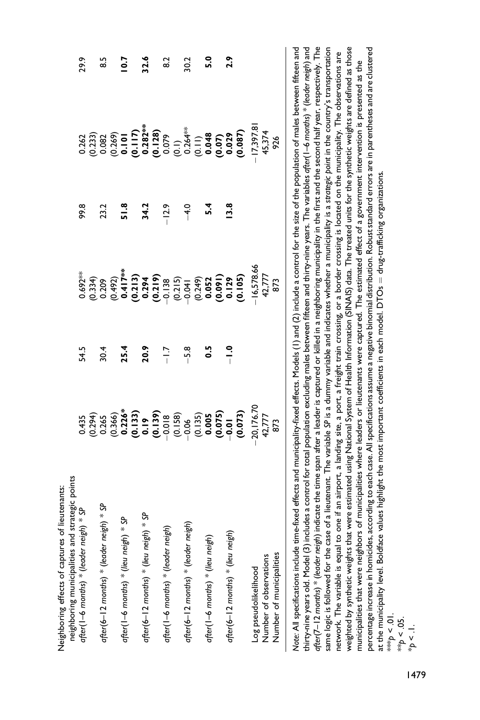|                                                     |                                                    | 29.9                                       | 33                                               | $\frac{7}{9}$                               | 32.6                                   | 8.2                                   | 30.2                                |                                      |                                       |                                                                                                                                                                                                                                                                                                  |                        |                          |  |
|-----------------------------------------------------|----------------------------------------------------|--------------------------------------------|--------------------------------------------------|---------------------------------------------|----------------------------------------|---------------------------------------|-------------------------------------|--------------------------------------|---------------------------------------|--------------------------------------------------------------------------------------------------------------------------------------------------------------------------------------------------------------------------------------------------------------------------------------------------|------------------------|--------------------------|--|
|                                                     |                                                    |                                            |                                                  |                                             |                                        |                                       |                                     |                                      |                                       | $\begin{array}{l} 233\\[-2mm] 0.233\\[-2mm] 0.233\\[-2mm] 0.233\\[-2mm] 0.233\\[-2mm] 0.233\\[-2mm] 0.233\\[-2mm] 0.233\\[-2mm] 0.233\\[-2mm] 0.233\\[-2mm] 0.233\\[-2mm] 0.233\\[-2mm] 0.233\\[-2mm] 0.233\\[-2mm] 0.233\\[-2mm] 0.233\\[-2mm] 0.233\\[-2mm] 0.233\\[-2mm] 0.233\\[-2mm] 0.233$ |                        |                          |  |
|                                                     |                                                    | 99.8                                       | 23.2                                             | 51.8                                        | 34.2                                   | $-12.9$                               | $-4.0$                              |                                      | 13.8                                  |                                                                                                                                                                                                                                                                                                  |                        |                          |  |
|                                                     |                                                    |                                            |                                                  |                                             |                                        |                                       |                                     |                                      |                                       | $0.692*$<br>$0.334$<br>$0.209$<br>$0.472*$<br>$0.472*$<br>$0.472*$<br>$0.472*$<br>$0.472*$<br>$0.472*$<br>$0.472*$<br>$0.472*$<br>$0.472*$<br>$0.472*$<br>$0.472*$<br>$0.472*$<br>$0.578*$                                                                                                       |                        |                          |  |
|                                                     |                                                    | 54.5                                       | 30.4                                             | 25.4                                        | 20.9                                   | $\frac{1}{2}$                         | $-5.8$                              |                                      |                                       |                                                                                                                                                                                                                                                                                                  |                        |                          |  |
|                                                     |                                                    |                                            |                                                  |                                             |                                        |                                       |                                     |                                      |                                       | $35.85$<br>$35.85$<br>$35.85$<br>$35.85$<br>$35.85$<br>$35.85$<br>$35.85$<br>$35.85$<br>$35.85$<br>$35.85$<br>$35.85$<br>$35.85$<br>$35.85$<br>$35.85$<br>$35.85$<br>$35.85$<br>$35.85$<br>$35.85$<br>$35.85$<br>$35.85$<br>$35.85$<br>$35.85$                                                   |                        |                          |  |
| es of lieutenants:<br>Neighboring effects of captur | and strategic points<br>neighboring municipalities | neigh) * SP<br>after(I–6 months) * (leader | $r$ neigh) $* SP$<br>after(6-12 months) * (leade | eigh) * SP<br>after(I-6 months) * (lieu ne. | after(6–12 months) * (lieu neigh) * SP | neigh)<br>after(1-6 months) * (leader | after(6–12 months) * (leader neigh) | (yāi<br>after(1-6 months) * (lieu ne | eigh)<br>after(6–12 months) * (lieu n | Log pseudolikelihood                                                                                                                                                                                                                                                                             | Number of observations | Number of municipalities |  |

Neighboring effects of captures of lieutenants:

 $qter(7-12\,month)$  \* (leader neigh) indicate the time span after a leader is captured or killed in a neighboring municipality in the first and the second half year, respectively. The Note: All specifications include time-fixed effects and municipality-fixed effects. Models (1) and (2) include a control for the size of the population of males between fifteen and Note: All specifications include time-fixed effects and municipality-fixed effects. Models (1) and (2) include a control for the size of the population of males between fifteen and thirty-nine years old. Model (3) includes a control for total population excluding males between fifteen and thirty-nine years. The variables ofter(1–6 months) \* (leader neigh) and thirty-nine years old. Model (3) includes a control for total population excluding males between fifteen and thirty-nine years. The variables after(1–6 months) \* (leader neigh) and ofter(7–12 months) \* (leader neigh) indicate the time span after a leader is captured or killed in a neighboring municipality in the first and the second half year, respectively. The same logic is followed for the case of a lieutenant. The variable SP is a dummy variable and indicates whether a municipality is a strategic point in the country's transportation same logic is followed for the case of a lieutenant. The variable SP is a dummy variable and indicates whether a municipality is a strategic point in the country's transportation weighted by synthetic weights that were estimated using National System of Health Information (SINAIS) data. The treated units for the synthetic weights are defined as those weighted by synthetic weights that were estimated using National System of Health Information (SINAIS) data. The treated units for the synthetic weights are defined as those percentage increase in homicides, according to each case. All specifications assume a negative binomial distribution. Robust standard errors are in parentheses and are clustered percentage increase in homicides, according to each case. All specifications assume a negative binomial distribution. Robust standard errors are in parentheses and are clustered network. The variable is equal to one if an airport, a landing site, a port, a freight train crossing, or a border crossing is located on the municipality. The observations are network. The variable is equal to one if an airport, a landing site, a port, a freight train crossing, or a border crossing is located on the municipality. The observations are municipalities that were neighbors of municipalities where leaders or lieutenants were captured. The estimated effect of a government intervention is presented as the municipalities that were neighbors of municipalities where leaders or lieutenants were captured. The estimated effect of a government intervention is presented as the at the municipality level. Boldface values highlight the most important coefficients in each model. DTOs = drug-trafficking organizations. at the municipality level. Boldface values highlight the most important coefficients in each model. DTOs  $=$  drug-trafficking organizations.  $\Rightarrow$  d\*\*\*

 $*$   $p < 0.5$ .

\*p < .1.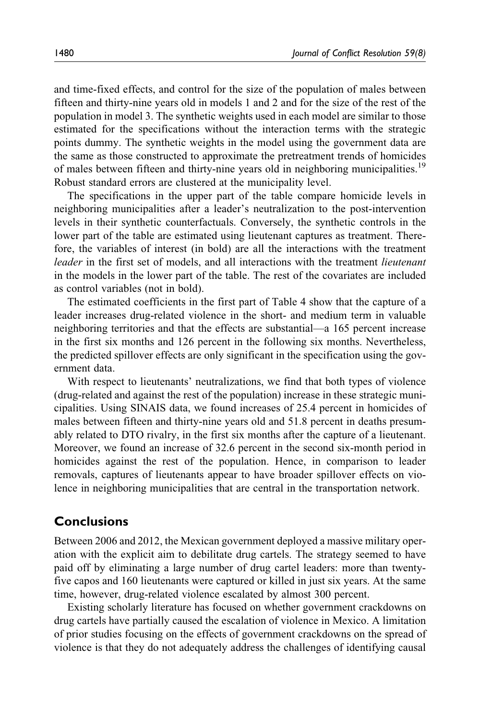and time-fixed effects, and control for the size of the population of males between fifteen and thirty-nine years old in models 1 and 2 and for the size of the rest of the population in model 3. The synthetic weights used in each model are similar to those estimated for the specifications without the interaction terms with the strategic points dummy. The synthetic weights in the model using the government data are the same as those constructed to approximate the pretreatment trends of homicides of males between fifteen and thirty-nine years old in neighboring municipalities.<sup>19</sup> Robust standard errors are clustered at the municipality level.

The specifications in the upper part of the table compare homicide levels in neighboring municipalities after a leader's neutralization to the post-intervention levels in their synthetic counterfactuals. Conversely, the synthetic controls in the lower part of the table are estimated using lieutenant captures as treatment. Therefore, the variables of interest (in bold) are all the interactions with the treatment leader in the first set of models, and all interactions with the treatment lieutenant in the models in the lower part of the table. The rest of the covariates are included as control variables (not in bold).

The estimated coefficients in the first part of Table 4 show that the capture of a leader increases drug-related violence in the short- and medium term in valuable neighboring territories and that the effects are substantial—a 165 percent increase in the first six months and 126 percent in the following six months. Nevertheless, the predicted spillover effects are only significant in the specification using the government data.

With respect to lieutenants' neutralizations, we find that both types of violence (drug-related and against the rest of the population) increase in these strategic municipalities. Using SINAIS data, we found increases of 25.4 percent in homicides of males between fifteen and thirty-nine years old and 51.8 percent in deaths presumably related to DTO rivalry, in the first six months after the capture of a lieutenant. Moreover, we found an increase of 32.6 percent in the second six-month period in homicides against the rest of the population. Hence, in comparison to leader removals, captures of lieutenants appear to have broader spillover effects on violence in neighboring municipalities that are central in the transportation network.

# **Conclusions**

Between 2006 and 2012, the Mexican government deployed a massive military operation with the explicit aim to debilitate drug cartels. The strategy seemed to have paid off by eliminating a large number of drug cartel leaders: more than twentyfive capos and 160 lieutenants were captured or killed in just six years. At the same time, however, drug-related violence escalated by almost 300 percent.

Existing scholarly literature has focused on whether government crackdowns on drug cartels have partially caused the escalation of violence in Mexico. A limitation of prior studies focusing on the effects of government crackdowns on the spread of violence is that they do not adequately address the challenges of identifying causal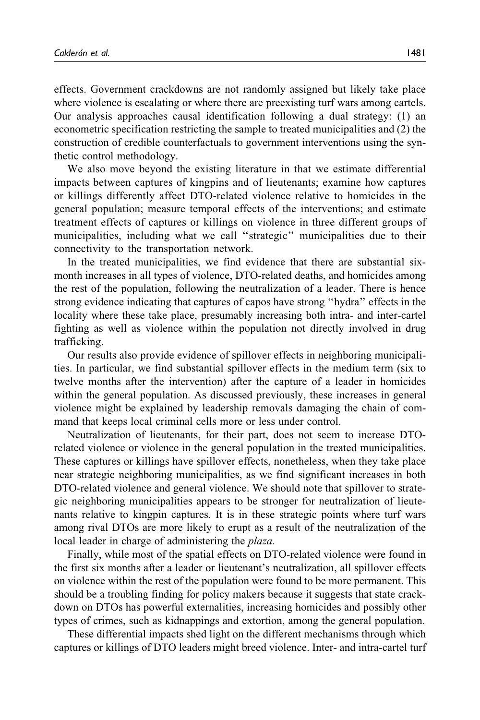effects. Government crackdowns are not randomly assigned but likely take place where violence is escalating or where there are preexisting turf wars among cartels. Our analysis approaches causal identification following a dual strategy: (1) an econometric specification restricting the sample to treated municipalities and (2) the construction of credible counterfactuals to government interventions using the synthetic control methodology.

We also move beyond the existing literature in that we estimate differential impacts between captures of kingpins and of lieutenants; examine how captures or killings differently affect DTO-related violence relative to homicides in the general population; measure temporal effects of the interventions; and estimate treatment effects of captures or killings on violence in three different groups of municipalities, including what we call ''strategic'' municipalities due to their connectivity to the transportation network.

In the treated municipalities, we find evidence that there are substantial sixmonth increases in all types of violence, DTO-related deaths, and homicides among the rest of the population, following the neutralization of a leader. There is hence strong evidence indicating that captures of capos have strong ''hydra'' effects in the locality where these take place, presumably increasing both intra- and inter-cartel fighting as well as violence within the population not directly involved in drug trafficking.

Our results also provide evidence of spillover effects in neighboring municipalities. In particular, we find substantial spillover effects in the medium term (six to twelve months after the intervention) after the capture of a leader in homicides within the general population. As discussed previously, these increases in general violence might be explained by leadership removals damaging the chain of command that keeps local criminal cells more or less under control.

Neutralization of lieutenants, for their part, does not seem to increase DTOrelated violence or violence in the general population in the treated municipalities. These captures or killings have spillover effects, nonetheless, when they take place near strategic neighboring municipalities, as we find significant increases in both DTO-related violence and general violence. We should note that spillover to strategic neighboring municipalities appears to be stronger for neutralization of lieutenants relative to kingpin captures. It is in these strategic points where turf wars among rival DTOs are more likely to erupt as a result of the neutralization of the local leader in charge of administering the *plaza*.

Finally, while most of the spatial effects on DTO-related violence were found in the first six months after a leader or lieutenant's neutralization, all spillover effects on violence within the rest of the population were found to be more permanent. This should be a troubling finding for policy makers because it suggests that state crackdown on DTOs has powerful externalities, increasing homicides and possibly other types of crimes, such as kidnappings and extortion, among the general population.

These differential impacts shed light on the different mechanisms through which captures or killings of DTO leaders might breed violence. Inter- and intra-cartel turf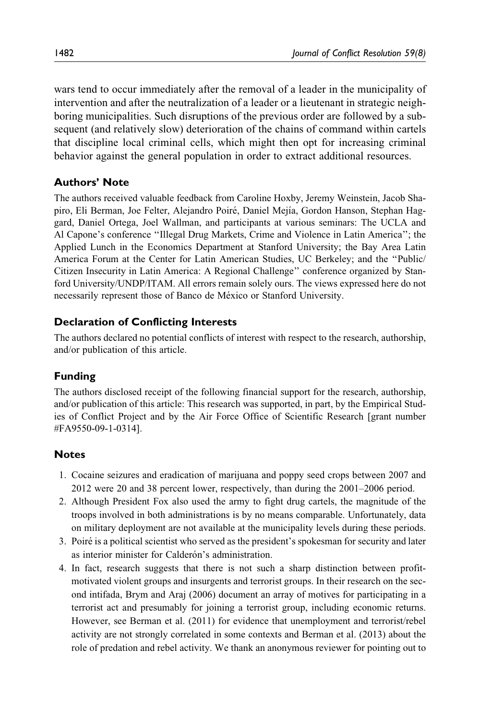wars tend to occur immediately after the removal of a leader in the municipality of intervention and after the neutralization of a leader or a lieutenant in strategic neighboring municipalities. Such disruptions of the previous order are followed by a subsequent (and relatively slow) deterioration of the chains of command within cartels that discipline local criminal cells, which might then opt for increasing criminal behavior against the general population in order to extract additional resources.

# Authors' Note

The authors received valuable feedback from Caroline Hoxby, Jeremy Weinstein, Jacob Shapiro, Eli Berman, Joe Felter, Alejandro Poiré, Daniel Mejía, Gordon Hanson, Stephan Haggard, Daniel Ortega, Joel Wallman, and participants at various seminars: The UCLA and Al Capone's conference ''Illegal Drug Markets, Crime and Violence in Latin America''; the Applied Lunch in the Economics Department at Stanford University; the Bay Area Latin America Forum at the Center for Latin American Studies, UC Berkeley; and the ''Public/ Citizen Insecurity in Latin America: A Regional Challenge'' conference organized by Stanford University/UNDP/ITAM. All errors remain solely ours. The views expressed here do not necessarily represent those of Banco de México or Stanford University.

# Declaration of Conflicting Interests

The authors declared no potential conflicts of interest with respect to the research, authorship, and/or publication of this article.

## Funding

The authors disclosed receipt of the following financial support for the research, authorship, and/or publication of this article: This research was supported, in part, by the Empirical Studies of Conflict Project and by the Air Force Office of Scientific Research [grant number #FA9550-09-1-0314].

# **Notes**

- 1. Cocaine seizures and eradication of marijuana and poppy seed crops between 2007 and 2012 were 20 and 38 percent lower, respectively, than during the 2001–2006 period.
- 2. Although President Fox also used the army to fight drug cartels, the magnitude of the troops involved in both administrations is by no means comparable. Unfortunately, data on military deployment are not available at the municipality levels during these periods.
- 3. Poiré is a political scientist who served as the president's spokesman for security and later as interior minister for Calderón's administration.
- 4. In fact, research suggests that there is not such a sharp distinction between profitmotivated violent groups and insurgents and terrorist groups. In their research on the second intifada, Brym and Araj (2006) document an array of motives for participating in a terrorist act and presumably for joining a terrorist group, including economic returns. However, see Berman et al. (2011) for evidence that unemployment and terrorist/rebel activity are not strongly correlated in some contexts and Berman et al. (2013) about the role of predation and rebel activity. We thank an anonymous reviewer for pointing out to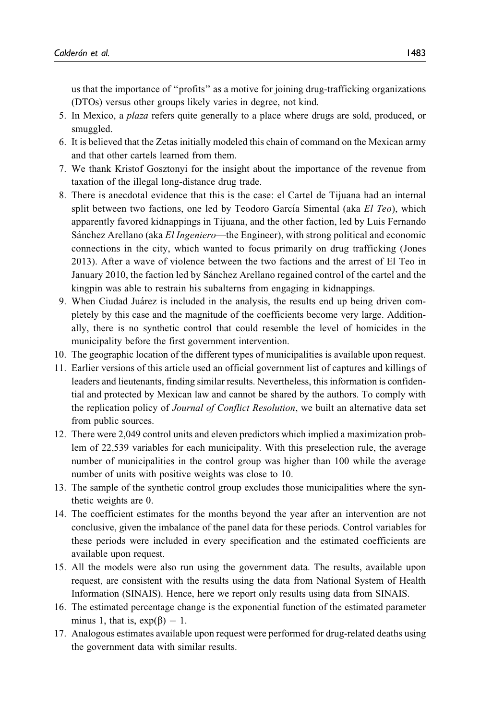us that the importance of ''profits'' as a motive for joining drug-trafficking organizations (DTOs) versus other groups likely varies in degree, not kind.

- 5. In Mexico, a plaza refers quite generally to a place where drugs are sold, produced, or smuggled.
- 6. It is believed that the Zetas initially modeled this chain of command on the Mexican army and that other cartels learned from them.
- 7. We thank Kristof Gosztonyi for the insight about the importance of the revenue from taxation of the illegal long-distance drug trade.
- 8. There is anecdotal evidence that this is the case: el Cartel de Tijuana had an internal split between two factions, one led by Teodoro García Simental (aka El Teo), which apparently favored kidnappings in Tijuana, and the other faction, led by Luis Fernando Sánchez Arellano (aka El Ingeniero—the Engineer), with strong political and economic connections in the city, which wanted to focus primarily on drug trafficking (Jones 2013). After a wave of violence between the two factions and the arrest of El Teo in January 2010, the faction led by Sánchez Arellano regained control of the cartel and the kingpin was able to restrain his subalterns from engaging in kidnappings.
- 9. When Ciudad Jua´rez is included in the analysis, the results end up being driven completely by this case and the magnitude of the coefficients become very large. Additionally, there is no synthetic control that could resemble the level of homicides in the municipality before the first government intervention.
- 10. The geographic location of the different types of municipalities is available upon request.
- 11. Earlier versions of this article used an official government list of captures and killings of leaders and lieutenants, finding similar results. Nevertheless, this information is confidential and protected by Mexican law and cannot be shared by the authors. To comply with the replication policy of Journal of Conflict Resolution, we built an alternative data set from public sources.
- 12. There were 2,049 control units and eleven predictors which implied a maximization problem of 22,539 variables for each municipality. With this preselection rule, the average number of municipalities in the control group was higher than 100 while the average number of units with positive weights was close to 10.
- 13. The sample of the synthetic control group excludes those municipalities where the synthetic weights are 0.
- 14. The coefficient estimates for the months beyond the year after an intervention are not conclusive, given the imbalance of the panel data for these periods. Control variables for these periods were included in every specification and the estimated coefficients are available upon request.
- 15. All the models were also run using the government data. The results, available upon request, are consistent with the results using the data from National System of Health Information (SINAIS). Hence, here we report only results using data from SINAIS.
- 16. The estimated percentage change is the exponential function of the estimated parameter minus 1, that is,  $exp(\beta) - 1$ .
- 17. Analogous estimates available upon request were performed for drug-related deaths using the government data with similar results.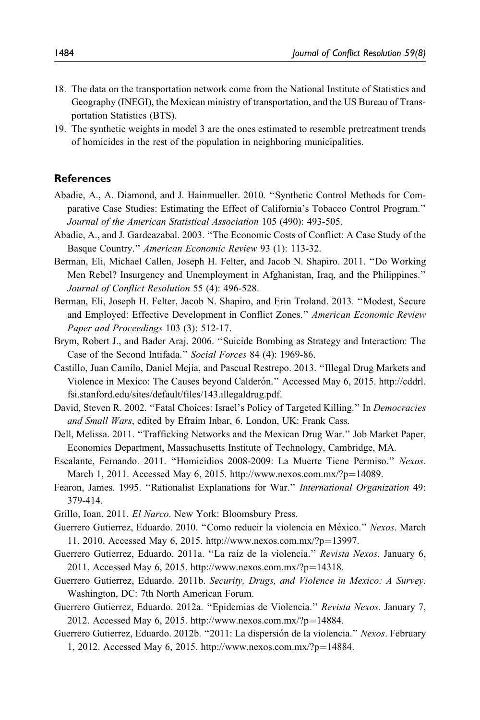- 18. The data on the transportation network come from the National Institute of Statistics and Geography (INEGI), the Mexican ministry of transportation, and the US Bureau of Transportation Statistics (BTS).
- 19. The synthetic weights in model 3 are the ones estimated to resemble pretreatment trends of homicides in the rest of the population in neighboring municipalities.

#### **References**

- Abadie, A., A. Diamond, and J. Hainmueller. 2010. ''Synthetic Control Methods for Comparative Case Studies: Estimating the Effect of California's Tobacco Control Program.'' Journal of the American Statistical Association 105 (490): 493-505.
- Abadie, A., and J. Gardeazabal. 2003. ''The Economic Costs of Conflict: A Case Study of the Basque Country.'' American Economic Review 93 (1): 113-32.
- Berman, Eli, Michael Callen, Joseph H. Felter, and Jacob N. Shapiro. 2011. ''Do Working Men Rebel? Insurgency and Unemployment in Afghanistan, Iraq, and the Philippines.'' Journal of Conflict Resolution 55 (4): 496-528.
- Berman, Eli, Joseph H. Felter, Jacob N. Shapiro, and Erin Troland. 2013. ''Modest, Secure and Employed: Effective Development in Conflict Zones." American Economic Review Paper and Proceedings 103 (3): 512-17.
- Brym, Robert J., and Bader Araj. 2006. ''Suicide Bombing as Strategy and Interaction: The Case of the Second Intifada.'' Social Forces 84 (4): 1969-86.
- Castillo, Juan Camilo, Daniel Mejía, and Pascual Restrepo. 2013. "Illegal Drug Markets and Violence in Mexico: The Causes beyond Calderón." Accessed May 6, 2015. [http://cddrl.](http://cddrl.fsi.stanford.edu/sites/default/files/143.illegaldrug.pdf) [fsi.stanford.edu/sites/default/files/143.illegaldrug.pdf.](http://cddrl.fsi.stanford.edu/sites/default/files/143.illegaldrug.pdf)
- David, Steven R. 2002. "Fatal Choices: Israel's Policy of Targeted Killing." In Democracies and Small Wars, edited by Efraim Inbar, 6. London, UK: Frank Cass.
- Dell, Melissa. 2011. ''Trafficking Networks and the Mexican Drug War.'' Job Market Paper, Economics Department, Massachusetts Institute of Technology, Cambridge, MA.
- Escalante, Fernando. 2011. ''Homicidios 2008-2009: La Muerte Tiene Permiso.'' Nexos. March 1, 2011. Accessed May 6, 2015. [http://www.nexos.com.mx/?p](http://www.nexos.com.mx/?p=14089)=[14089.](http://www.nexos.com.mx/?p=14089)
- Fearon, James. 1995. ''Rationalist Explanations for War.'' International Organization 49: 379-414.
- Grillo, Ioan. 2011. El Narco. New York: Bloomsbury Press.
- Guerrero Gutierrez, Eduardo. 2010. "Como reducir la violencia en México." Nexos. March 11, 2010. Accessed May 6, 2015. [http://www.nexos.com.mx/?p](http://www.nexos.com.mx/?p=13997)=[13997](http://www.nexos.com.mx/?p=13997).
- Guerrero Gutierrez, Eduardo. 2011a. "La raíz de la violencia." Revista Nexos. January 6, 2011. Accessed May 6, 2015. [http://www.nexos.com.mx/?p](http://www.nexos.com.mx/?p=14318)=[14318](http://www.nexos.com.mx/?p=14318).
- Guerrero Gutierrez, Eduardo. 2011b. Security, Drugs, and Violence in Mexico: A Survey. Washington, DC: 7th North American Forum.
- Guerrero Gutierrez, Eduardo. 2012a. ''Epidemias de Violencia.'' Revista Nexos. January 7, 2012. Accessed May 6, 2015. [http://www.nexos.com.mx/?p](http://www.nexos.com.mx/?p=14884)=[14884](http://www.nexos.com.mx/?p=14884).
- Guerrero Gutierrez, Eduardo. 2012b. "2011: La dispersión de la violencia." Nexos. February 1, 2012. Accessed May 6, 2015. [http://www.nexos.com.mx/?p](http://www.nexos.com.mx/?p=14884)=[14884.](http://www.nexos.com.mx/?p=14884)